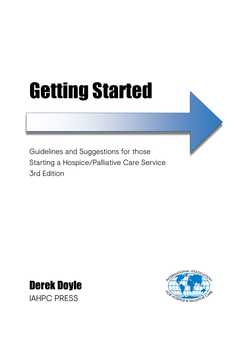# Getting Started

Guidelines and Suggestions for those Starting a Hospice/Palliative Care Service 3rd Edition



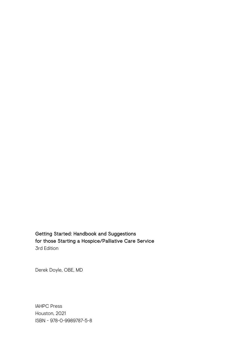Getting Started: Handbook and Suggestions for those Starting a Hospice/Palliative Care Service 3rd Edition

Derek Doyle, OBE, MD

IAHPC Press Houston, 2021 ISBN - 978-0-9989787-5-8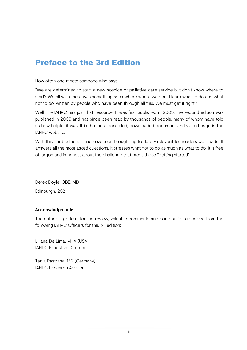# Preface to the 3rd Edition

How often one meets someone who says:

"We are determined to start a new hospice or palliative care service but don't know where to start? We all wish there was something somewhere where we could learn what to do and what not to do, written by people who have been through all this. We must get it right."

Well, the IAHPC has just that resource. It was first published in 2005, the second edition was published in 2009 and has since been read by thousands of people, many of whom have told us how helpful it was. It is the most consulted, downloaded document and visited page in the IAHPC website.

With this third edition, it has now been brought up to date - relevant for readers worldwide. It answers all the most asked questions. It stresses what not to do as much as what to do. It is free of jargon and is honest about the challenge that faces those "getting started".

Derek Doyle, OBE, MD Edinburgh, 2021

#### Acknowledgments

The author is grateful for the review, valuable comments and contributions received from the following IAHPC Officers for this 3<sup>rd</sup> edition:

Liliana De Lima, MHA (USA) IAHPC Executive Director

Tania Pastrana, MD (Germany) IAHPC Research Adviser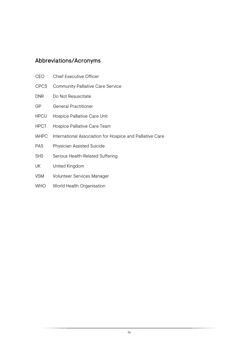## Abbreviations/Acronyms

| <b>CEO</b>   | <b>Chief Executive Officer</b>                            |
|--------------|-----------------------------------------------------------|
| <b>CPCS</b>  | <b>Community Palliative Care Service</b>                  |
| <b>DNR</b>   | Do Not Resuscitate                                        |
| GP           | <b>General Practitioner</b>                               |
| <b>HPCU</b>  | Hospice Palliative Care Unit                              |
| <b>HPCT</b>  | Hospice Palliative Care Team                              |
| <b>IAHPC</b> | International Association for Hospice and Palliative Care |
| <b>PAS</b>   | Physician Assisted Suicide                                |
| <b>SHS</b>   | Serious Health-Related Suffering                          |
| UK           | United Kingdom                                            |
| <b>VSM</b>   | Volunteer Services Manager                                |
| <b>WHO</b>   | World Health Organisation                                 |
|              |                                                           |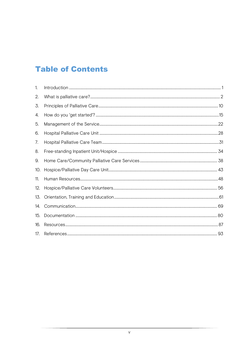# **Table of Contents**

| 1.  |  |
|-----|--|
| 2.  |  |
| 3.  |  |
| 4.  |  |
| 5.  |  |
| 6.  |  |
| 7.  |  |
| 8.  |  |
| 9.  |  |
| 10. |  |
| 11. |  |
| 12. |  |
| 13. |  |
| 14. |  |
| 15. |  |
| 16. |  |
| 17. |  |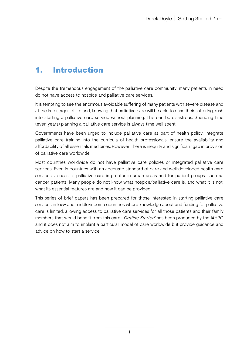# <span id="page-5-0"></span>1. Introduction

Despite the tremendous engagement of the palliative care community, many patients in need do not have access to hospice and palliative care services.

It is tempting to see the enormous avoidable suffering of many patients with severe disease and at the late stages of life and, knowing that palliative care will be able to ease their suffering, rush into starting a palliative care service without planning. This can be disastrous. Spending time (even years) planning a palliative care service is always time well spent.

Governments have been urged to include palliative care as part of health policy; integrate palliative care training into the curricula of health professionals; ensure the availability and affordability of all essentials medicines. However, there is inequity and significant gap in provision of palliative care worldwide.

Most countries worldwide do not have palliative care policies or integrated palliative care services. Even in countries with an adequate standard of care and well-developed health care services, access to palliative care is greater in urban areas and for patient groups, such as cancer patients. Many people do not know what hospice/palliative care is, and what it is not; what its essential features are and how it can be provided.

This series of brief papers has been prepared for those interested in starting palliative care services in low- and middle-income countries where knowledge about and funding for palliative care is limited, allowing access to palliative care services for all those patients and their family members that would benefit from this care. 'Getting Started' has been produced by the IAHPC and it does not aim to implant a particular model of care worldwide but provide guidance and advice on how to start a service.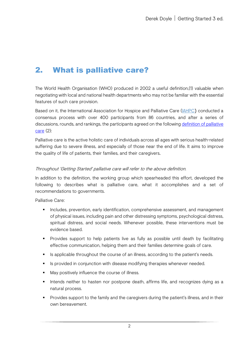# <span id="page-6-0"></span>2. What is palliative care?

The World Health Organisation (WHO) produced in 2002 a useful definition,(1) valuable when negotiating with local and national health departments who may not be familiar with the essential features of such care provision.

Based on it, the International Association for Hospice and Palliative Care (*IAHPC*) conducted a consensus process with over 400 participants from 86 countries, and after a series of discussions, rounds, and rankings, the participants agreed on the following definition of palliative [care](https://hospicecare.com/what-we-do/projects/consensus-based-definition-of-palliative-care/definition/) (2):

Palliative care is the active holistic care of individuals across all ages with serious health-related suffering due to severe illness, and especially of those near the end of life. It aims to improve the quality of life of patients, their families, and their caregivers.

#### Throughout 'Getting Started' palliative care will refer to the above definition.

In addition to the definition, the working group which spearheaded this effort, developed the following to describes what is palliative care, what it accomplishes and a set of recommendations to governments.

Palliative Care:

- **Includes, prevention, early identification, comprehensive assessment, and management** of physical issues, including pain and other distressing symptoms, psychological distress, spiritual distress, and social needs. Whenever possible, these interventions must be evidence based.
- **Provides support to help patients live as fully as possible until death by facilitating** effective communication, helping them and their families determine goals of care.
- Is applicable throughout the course of an illness, according to the patient's needs.
- **IS provided in conjunction with disease modifying therapies whenever needed.**
- May positively influence the course of illness.
- Intends neither to hasten nor postpone death, affirms life, and recognizes dying as a natural process.
- **Provides support to the family and the caregivers during the patient's illness, and in their** own bereavement.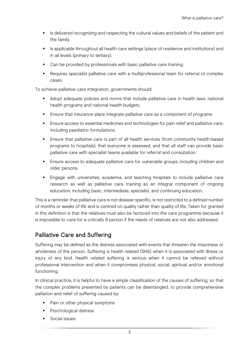- In Is delivered recognizing and respecting the cultural values and beliefs of the patient and the family.
- Is applicable throughout all health care settings (place of residence and institutions) and in all levels (primary to tertiary).
- Can be provided by professionals with basic palliative care training.
- Requires specialist palliative care with a multiprofessional team for referral of complex cases.

To achieve palliative care integration, governments should:

- Adopt adequate policies and norms that include palliative care in health laws, national health programs and national health budgets.
- Ensure that insurance plans integrate palliative care as a component of programs.
- Ensure access to essential medicines and technologies for pain relief and palliative care, including paediatric formulations.
- Ensure that palliative care is part of all health services (from community health-based programs to hospitals), that everyone is assessed, and that all staff can provide basic palliative care with specialist teams available for referral and consultation.
- Ensure access to adequate palliative care for vulnerable groups, including children and older persons.
- **Engage with universities, academia, and teaching hospitals to include palliative care** research as well as palliative care training as an integral component of ongoing education, including basic, intermediate, specialist, and continuing education.

This is a reminder that palliative care is not disease-specific, is not restricted to a defined number of months or weeks of life and is centred on quality rather than quality of life. Taken for granted in this definition is that the relatives must also be factored into the care programme because it is impossible to care for a critically ill person if the needs of relatives are not also addressed.

## Palliative Care and Suffering

Suffering may be defined as the distress associated with events that threaten the intactness or wholeness of the person. Suffering is health related (SHS) when it is associated with illness or injury of any kind. Health related suffering is serious when it cannot be relieved without professional intervention and when it compromises physical, social, spiritual and/or emotional functioning.

In clinical practice, it is helpful to have a simple classification of the causes of suffering, so that the complex problems presented by patients can be disentangled, to provide comprehensive palliation and relief of suffering caused by:

- Pain or other physical symptoms
- **Psychological distress**
- **Social issues**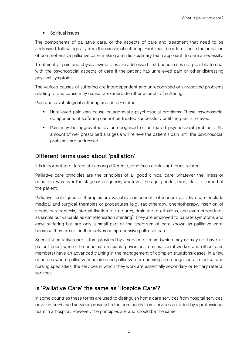**Spiritual issues** 

The components of palliative care, or the aspects of care and treatment that need to be addressed, follow logically from the causes of suffering. Each must be addressed in the provision of comprehensive palliative care, making a multidisciplinary team approach to care a necessity.

Treatment of pain and physical symptoms are addressed first because it is not possible to deal with the psychosocial aspects of care if the patient has unrelieved pain or other distressing physical symptoms.

The various causes of suffering are interdependent and unrecognised or unresolved problems relating to one cause may cause or exacerbate other aspects of suffering.

Pain and psychological suffering area inter-related:

- Unrelieved pain can cause or aggravate psychosocial problems. These psychosocial components of suffering cannot be treated successfully until the pain is relieved.
- Pain may be aggravated by unrecognised or untreated psychosocial problems. No amount of well prescribed analgesia will relieve the patient's pain until the psychosocial problems are addressed.

## Different terms used about 'palliation'

It is important to differentiate among different (sometimes confusing) terms related:

Palliative care principles are the principles of all good clinical care, whatever the illness or condition, whatever the stage or prognosis, whatever the age, gender, race, class, or creed of the patient.

Palliative techniques or therapies are valuable components of modern palliative care, include medical and surgical therapies or procedures (e.g., radiotherapy, chemotherapy, insertion of stents, paracentesis, internal fixation of fractures, drainage of effusions, and even procedures as simple but valuable as catheterisation stenting). They are employed to palliate symptoms and ease suffering but are only a small part of the spectrum of care known as palliative care, because they are not in themselves comprehensive palliative care.

Specialist palliative care is that provided by a service or team (which may or may not have inpatient beds) where the principal clinicians (physicians, nurses, social worker and other team members) have an advanced training in the management of complex situations/cases. In a few countries where palliative medicine and palliative care nursing are recognised as medical and nursing specialties, the services in which they work are essentially secondary or tertiary referral services.

#### Is 'Palliative Care' the same as 'Hospice Care'?

In some countries these terms are used to distinguish home care services from hospital services, or volunteer-based services provided in the community from services provided by a professional team in a hospital. However, the principles are and should be the same.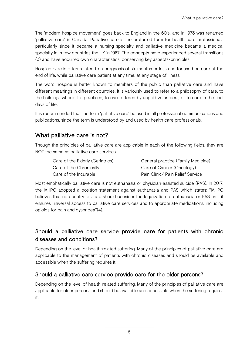The 'modern hospice movement' goes back to England in the 60's, and in 1973 was renamed 'palliative care' in Canada. Palliative care is the preferred term for health care professionals particularly since it became a nursing specialty and palliative medicine became a medical specialty in in few countries the UK in 1987. The concepts have experienced several transitions (3) and have acquired own characteristics, conserving key aspects/principles.

Hospice care is often related to a prognosis of six months or less and focused on care at the end of life, while palliative care patient at any time, at any stage of illness.

The word hospice is better known to members of the public than palliative care and have different meanings in different countries. It is variously used to refer to a philosophy of care, to the buildings where it is practised, to care offered by unpaid volunteers, or to care in the final days of life.

It is recommended that the term 'palliative care' be used in all professional communications and publications, since the term is understood by and used by health care professionals.

## What palliative care is not?

Though the principles of palliative care are applicable in each of the following fields, they are NOT the same as palliative care services:

| Care of the Elderly (Geriatrics) | General practice (Family Medicine) |
|----------------------------------|------------------------------------|
| Care of the Chronically III      | Care of Cancer (Oncology)          |
| Care of the Incurable            | Pain Clinic/ Pain Relief Service   |

Most emphatically palliative care is not euthanasia or physician-assisted suicide (PAS). In 2017, the IAHPC adopted a position statement against euthanasia and PAS which states: "IAHPC believes that no country or state should consider the legalization of euthanasia or PAS until it ensures universal access to palliative care services and to appropriate medications, including opioids for pain and dyspnoea"(4).

## Should a palliative care service provide care for patients with chronic diseases and conditions?

Depending on the level of health-related suffering. Many of the principles of palliative care are applicable to the management of patients with chronic diseases and should be available and accessible when the suffering requires it.

#### Should a palliative care service provide care for the older persons?

Depending on the level of health-related suffering. Many of the principles of palliative care are applicable for older persons and should be available and accessible when the suffering requires it.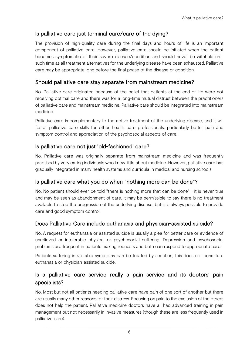## Is palliative care just terminal care/care of the dying?

The provision of high-quality care during the final days and hours of life is an important component of palliative care. However, palliative care should be initiated when the patient becomes symptomatic of their severe disease/condition and should never be withheld until such time as all treatment alternatives for the underlying disease have been exhausted. Palliative care may be appropriate long before the final phase of the disease or condition.

## Should palliative care stay separate from mainstream medicine?

No. Palliative care originated because of the belief that patients at the end of life were not receiving optimal care and there was for a long-time mutual distrust between the practitioners of palliative care and mainstream medicine. Palliative care should be integrated into mainstream medicine.

Palliative care is complementary to the active treatment of the underlying disease, and it will foster palliative care skills for other health care professionals, particularly better pain and symptom control and appreciation of the psychosocial aspects of care.

## Is palliative care not just 'old-fashioned' care?

No. Palliative care was originally separate from mainstream medicine and was frequently practised by very caring individuals who knew little about medicine. However, palliative care has gradually integrated in many health systems and curricula in medical and nursing schools.

#### Is palliative care what you do when "nothing more can be done"?

No. No patient should ever be told "there is nothing more that can be done"— it is never true and may be seen as abandonment of care. It may be permissible to say there is no treatment available to stop the progression of the underlying disease, but it is always possible to provide care and good symptom control.

#### Does Palliative Care include euthanasia and physician-assisted suicide?

No. A request for euthanasia or assisted suicide is usually a plea for better care or evidence of unrelieved or intolerable physical or psychosocial suffering. Depression and psychosocial problems are frequent in patients making requests and both can respond to appropriate care.

Patients suffering intractable symptoms can be treated by sedation; this does not constitute euthanasia or physician-assisted suicide.

## Is a palliative care service really a pain service and its doctors' pain specialists?

No. Most but not all patients needing palliative care have pain of one sort of another but there are usually many other reasons for their distress. Focusing on pain to the exclusion of the others does not help the patient. Palliative medicine doctors have all had advanced training in pain management but not necessarily in invasive measures (though these are less frequently used in palliative care).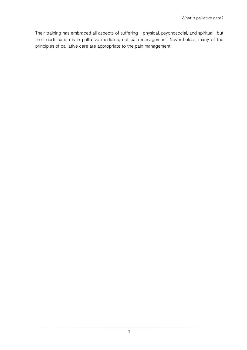Their training has embraced all aspects of suffering – physical, psychosocial, and spiritual –but their certification is in palliative medicine, not pain management. Nevertheless, many of the principles of palliative care are appropriate to the pain management.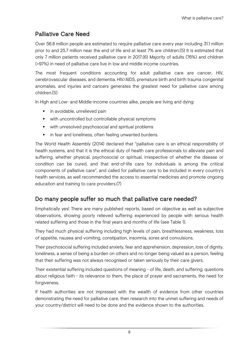## Palliative Care Need

Over 56.8 million people are estimated to require palliative care every year including 31.1 million prior to and 25.7 million near the end of life and at least 7% are children.(5) It is estimated that only 7 million patients received palliative care in 2017.(6) Majority of adults (76%) and children (>97%) in need of palliative care live in low and middle income countries.

The most frequent conditions accounting for adult palliative care are cancer, HIV, cerebrovascular diseases, and dementia. HIV/AIDS, premature birth and birth trauma congenital anomalies, and injuries and cancers generates the greatest need for palliative care among children.(5)

In High and Low- and Middle-income countries alike, people are living and dying:

- **n** in avoidable, unrelieved pain
- with uncontrolled but controllable physical symptoms
- with unresolved psychosocial and spiritual problems
- **i** in fear and loneliness, often feeling unwanted burdens.

The World Health Assembly (2014) declared that "palliative care is an ethical responsibility of health systems, and that it is the ethical duty of health care professionals to alleviate pain and suffering, whether physical, psychosocial or spiritual, irrespective of whether the disease or condition can be cured, and that end-of-life care for individuals is among the critical components of palliative care", and called for palliative care to be included in every country's health services, as well recommended the access to essential medicines and promote ongoing education and training to care providers.(7)

## Do many people suffer so much that palliative care needed?

Emphatically yes! There are many published reports, based on objective as well as subjective observations, showing poorly relieved suffering experienced by people with serious health related suffering and those in the final years and months of life (see Table 1).

They had much physical suffering including high levels of pain, breathlessness, weakness, loss of appetite, nausea and vomiting, constipation, insomnia, sores and convulsions.

Their psychosocial suffering included anxiety, fear and apprehension, depression, loss of dignity, loneliness, a sense of being a burden on others and no longer being valued as a person, feeling that their suffering was not always recognised or taken seriously by their care givers.

Their existential suffering included questions of meaning - of life, death, and suffering; questions about religious faith - its relevance to them, the place of prayer and sacraments, the need for forgiveness.

If health authorities are not impressed with the wealth of evidence from other countries demonstrating the need for palliative care, then research into the unmet suffering and needs of your country/district will need to be done and the evidence shown to the authorities.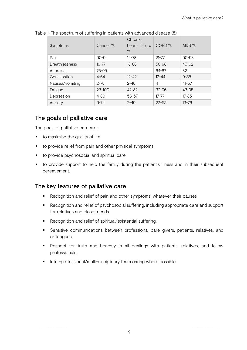| Symptoms              | Cancer %   | Chronic<br>heart failure<br>% | COPD %    | AIDS %    |
|-----------------------|------------|-------------------------------|-----------|-----------|
| Pain                  | 30-94      | 14-78                         | $21 - 77$ | 30-98     |
| <b>Breathlessness</b> | $16 - 77$  | $18 - 88$                     | 56-98     | $43 - 62$ |
| Anorexia              | 76-95      |                               | 64-67     | 82        |
| Constipation          | $4 - 64$   | $12 - 42$                     | $12 - 44$ | $9 - 35$  |
| Nausea/vomiting       | $2 - 78$   | $2 - 48$                      | 4         | $41 - 57$ |
| Fatigue               | $23 - 100$ | $42 - 82$                     | 32-96     | 43-95     |
| Depression            | $4 - 80$   | $56 - 57$                     | $17 - 77$ | $17 - 83$ |
| Anxiety               | $3 - 74$   | $2 - 49$                      | $23 - 53$ | $13 - 76$ |

#### Table 1: The spectrum of suffering in patients with advanced disease (8)

## The goals of palliative care

The goals of palliative care are:

- to maximise the quality of life
- to provide relief from pain and other physical symptoms
- to provide psychosocial and spiritual care
- to provide support to help the family during the patient's illness and in their subsequent bereavement.

#### The key features of palliative care

- Recognition and relief of pain and other symptoms, whatever their causes
- Recognition and relief of psychosocial suffering, including appropriate care and support for relatives and close friends.
- Recognition and relief of spiritual/existential suffering.
- Sensitive communications between professional care givers, patients, relatives, and colleagues.
- Respect for truth and honesty in all dealings with patients, relatives, and fellow professionals.
- Inter-professional/multi-disciplinary team caring where possible.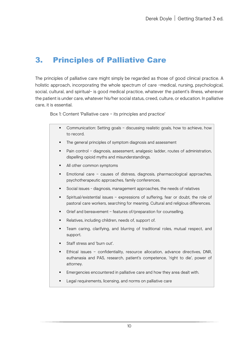# <span id="page-14-0"></span>3. Principles of Palliative Care

The principles of palliative care might simply be regarded as those of good clinical practice. A holistic approach, incorporating the whole spectrum of care –medical, nursing, psychological, social, cultural, and spiritual– is good medical practice, whatever the patient's illness, wherever the patient is under care, whatever his/her social status, creed, culture, or education. In palliative care, it is essential.

Box 1: Content 'Palliative care – its principles and practice'

- Communication: Setting goals discussing realistic goals, how to achieve, how to record.
- The general principles of symptom diagnosis and assessment
- Pain control diagnosis, assessment, analgesic ladder, routes of administration, dispelling opioid myths and misunderstandings.
- All other common symptoms
- Emotional care causes of distress, diagnosis, pharmacological approaches, psychotherapeutic approaches, family conferences.
- Social issues diagnosis, management approaches, the needs of relatives
- Spiritual/existential issues expressions of suffering, fear or doubt, the role of pastoral care workers, searching for meaning. Cultural and religious differences.
- Grief and bereavement features of/preparation for counselling.
- Relatives, including children, needs of, support of.
- Team caring, clarifying, and blurring of traditional roles, mutual respect, and support.
- Staff stress and 'burn out'.
- Ethical issues confidentiality, resource allocation, advance directives, DNR, euthanasia and PAS, research, patient's competence, 'right to die', power of attorney.
- Emergencies encountered in palliative care and how they area dealt with.
- Legal requirements, licensing, and norms on palliative care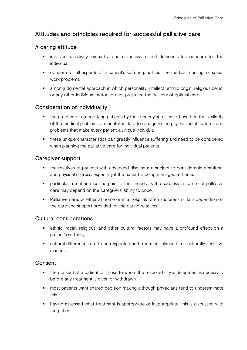## Attitudes and principles required for successful palliative care

#### A caring attitude

- **•** involves sensitivity, empathy, and compassion, and demonstrates concern for the individual.
- concern for all aspects of a patient's suffering, not just the medical, nursing, or social work problems.
- a non-judgmental approach in which personality, intellect, ethnic origin, religious belief, or any other individual factors do not prejudice the delivery of optimal care.

#### Consideration of individuality

- the practice of categorizing patients by their underlying disease, based on the similarity of the medical problems encountered, fails to recognize the psychosocial features and problems that make every patient a unique individual.
- these unique characteristics can greatly influence suffering and need to be considered when planning the palliative care for individual patients.

#### Caregiver support

- the relatives of patients with advanced disease are subject to considerable emotional and physical distress, especially if the patient is being managed at home.
- particular attention must be paid to their needs as the success or failure of palliative care may depend on the caregivers' ability to cope.
- Palliative care, whether at home or in a hospital, often succeeds or fails depending on the care and support provided for the caring relatives.

#### Cultural considerations

- ethnic, racial, religious, and other cultural factors may have a profound effect on a patient's suffering.
- cultural differences are to be respected and treatment planned in a culturally sensitive manner.

#### Consent

- the consent of a patient, or those to whom the responsibility is delegated, is necessary before any treatment is given or withdrawn.
- **namble 1** most patients want shared decision making although physicians tend to underestimate this.
- having assessed what treatment is appropriate or inappropriate, this is discussed with the patient.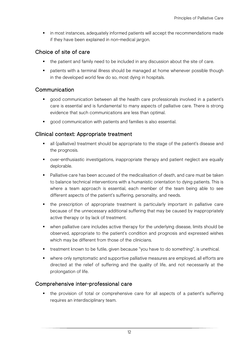in most instances, adequately informed patients will accept the recommendations made if they have been explained in non-medical jargon.

#### Choice of site of care

- the patient and family need to be included in any discussion about the site of care.
- patients with a terminal illness should be managed at home whenever possible though in the developed world few do so, most dying in hospitals.

#### **Communication**

- good communication between all the health care professionals involved in a patient's care is essential and is fundamental to many aspects of palliative care. There is strong evidence that such communications are less than optimal.
- good communication with patients and families is also essential.

#### Clinical context: Appropriate treatment

- all (palliative) treatment should be appropriate to the stage of the patient's disease and the prognosis.
- over-enthusiastic investigations, inappropriate therapy and patient neglect are equally deplorable.
- **Palliative care has been accused of the medicalisation of death, and care must be taken** to balance technical interventions with a humanistic orientation to dying patients. This is where a team approach is essential, each member of the team being able to see different aspects of the patient's suffering, personality, and needs.
- the prescription of appropriate treatment is particularly important in palliative care because of the unnecessary additional suffering that may be caused by inappropriately active therapy or by lack of treatment.
- when palliative care includes active therapy for the underlying disease, limits should be observed, appropriate to the patient's condition and prognosis and expressed wishes which may be different from those of the clinicians.
- treatment known to be futile, given because "you have to do something", is unethical.
- where only symptomatic and supportive palliative measures are employed, all efforts are directed at the relief of suffering and the quality of life, and not necessarily at the prolongation of life.

#### Comprehensive inter-professional care

 the provision of total or comprehensive care for all aspects of a patient's suffering requires an interdisciplinary team.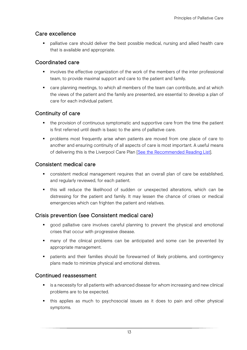#### Care excellence

 palliative care should deliver the best possible medical, nursing and allied health care that is available and appropriate.

#### Coordinated care

- **•** involves the effective organization of the work of the members of the inter professional team, to provide maximal support and care to the patient and family.
- **EXT** care planning meetings, to which all members of the team can contribute, and at which the views of the patient and the family are presented, are essential to develop a plan of care for each individual patient.

## Continuity of care

- the provision of continuous symptomatic and supportive care from the time the patient is first referred until death is basic to the aims of palliative care.
- problems most frequently arise when patients are moved from one place of care to another and ensuring continuity of all aspects of care is most important. A useful means of delivering this is the Liverpool Care Plan [\[See the Recommended Reading List\]](#page-92-0).

#### Consistent medical care

- consistent medical management requires that an overall plan of care be established, and regularly reviewed, for each patient.
- this will reduce the likelihood of sudden or unexpected alterations, which can be distressing for the patient and family. It may lessen the chance of crises or medical emergencies which can frighten the patient and relatives.

#### Crisis prevention (see Consistent medical care)

- **•** good palliative care involves careful planning to prevent the physical and emotional crises that occur with progressive disease.
- many of the clinical problems can be anticipated and some can be prevented by appropriate management.
- **•** patients and their families should be forewarned of likely problems, and contingency plans made to minimize physical and emotional distress.

#### Continued reassessment

- is a necessity for all patients with advanced disease for whom increasing and new clinical problems are to be expected.
- this applies as much to psychosocial issues as it does to pain and other physical symptoms.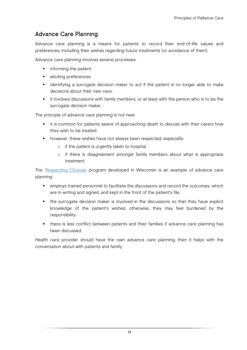## Advance Care Planning

Advance care planning is a means for patients to record their end-of-life values and preferences, including their wishes regarding future treatments (or avoidance of them).

Advance care planning involves several processes:

- **F** informing the patient
- **eliciting preferences**
- identifying a surrogate decision maker to act if the patient is no longer able to make decisions about their own care.
- it involves discussions with family members, or at least with the person who is to be the surrogate decision maker.

The principle of advance care planning is not new:

- it is common for patients aware of approaching death to discuss with their carers how they wish to be treated.
- **•** however, these wishes have not always been respected, especially:
	- o if the patient is urgently taken to hospital
	- o if there is disagreement amongst family members about what is appropriate treatment.

The ['Respecting Choices'](https://respectingchoices.org/) program developed in Wisconsin is an example of advance care planning:

- employs trained personnel to facilitate the discussions and record the outcomes, which are in writing and signed, and kept in the front of the patient's file.
- the surrogate decision maker is involved in the discussions so that they have explicit knowledge of the patient's wishes; otherwise, they may feel burdened by the responsibility.
- there is less conflict between patients and their families if advance care planning has been discussed.

Health care provider should have the own advance care planning, then it helps with the conversation about with patients and family.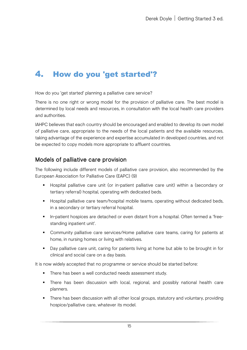# <span id="page-19-0"></span>4. How do you 'get started'?

How do you 'get started' planning a palliative care service?

There is no one right or wrong model for the provision of palliative care. The best model is determined by local needs and resources, in consultation with the local health care providers and authorities.

IAHPC believes that each country should be encouraged and enabled to develop its own model of palliative care, appropriate to the needs of the local patients and the available resources, taking advantage of the experience and expertise accumulated in developed countries, and not be expected to copy models more appropriate to affluent countries.

## Models of palliative care provision

The following include different models of palliative care provision, also recommended by the European Association for Palliative Care (EAPC) (9)

- Hospital palliative care unit (or in-patient palliative care unit) within a (secondary or tertiary referral) hospital, operating with dedicated beds.
- **Hospital palliative care team/hospital mobile teams, operating without dedicated beds,** in a secondary or tertiary referral hospital.
- In-patient hospices are detached or even distant from a hospital. Often termed a 'freestanding inpatient unit'.
- Community palliative care services/Home palliative care teams, caring for patients at home, in nursing homes or living with relatives.
- Day palliative care unit, caring for patients living at home but able to be brought in for clinical and social care on a day basis.

It is now widely accepted that no programme or service should be started before:

- There has been a well conducted needs assessment study.
- There has been discussion with local, regional, and possibly national health care planners.
- There has been discussion with all other local groups, statutory and voluntary, providing hospice/palliative care, whatever its model.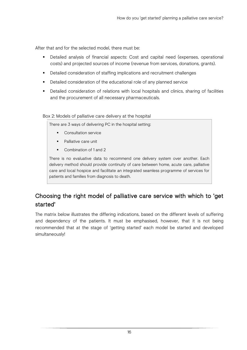After that and for the selected model, there must be:

- Detailed analysis of financial aspects: Cost and capital need (expenses, operational costs) and projected sources of income (revenue from services, donations, grants).
- **•** Detailed consideration of staffing implications and recruitment challenges
- **•** Detailed consideration of the educational role of any planned service
- Detailed consideration of relations with local hospitals and clinics, sharing of facilities and the procurement of all necessary pharmaceuticals.

#### Box 2: Models of palliative care delivery at the hospital

There are 3 ways of delivering PC in the hospital setting:

- **Consultation service**
- Palliative care unit
- Combination of 1 and 2

There is no evaluative data to recommend one delivery system over another. Each delivery method should provide continuity of care between home, acute care, palliative care and local hospice and facilitate an integrated seamless programme of services for patients and families from diagnosis to death.

## Choosing the right model of palliative care service with which to 'get started'

The matrix below illustrates the differing indications, based on the different levels of suffering and dependency of the patients. It must be emphasised, however, that it is not being recommended that at the stage of 'getting started' each model be started and developed simultaneously!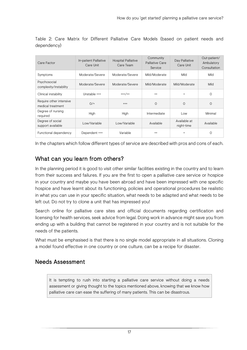| Care Factor                                  | In-patient Palliative<br>Care Unit | <b>Hospital Palliative</b><br>Care Team | Community<br>Palliative Care<br>Service | Day Palliative<br>Care Unit | Out-patient/<br>Ambulatory<br>Consultation |
|----------------------------------------------|------------------------------------|-----------------------------------------|-----------------------------------------|-----------------------------|--------------------------------------------|
| Symptoms                                     | Moderate/Severe                    | Moderate/Severe                         | Mild/Moderate                           | Mild                        | Mild                                       |
| Psychosocial<br>complexity/instability       | Moderate/Severe                    | Moderate/Severe                         | Mild/Moderate                           | Mild/Moderate               | Mild                                       |
| Clinical instability                         | Unstable +++                       | $+++/++$                                | $^{++}$                                 | $\ddot{}$                   | O                                          |
| Require other intensive<br>medical treatment | $O/$ +                             | $^{+++}$                                | $\Omega$                                | O                           | $\Omega$                                   |
| Degree of nursing<br>required                | High                               | High                                    | Intermediate                            | Low                         | Minimal                                    |
| Degree of social<br>support available        | Low/Variable                       | Low/Variable                            | Available                               | Available at<br>night-time  | Available                                  |
| Functional dependency                        | Dependent +++                      | Variable                                | $^{++}$                                 | $\ddot{}$                   | 0                                          |

Table 2: Care Matrix for Different Palliative Care Models (based on patient needs and dependency)

In the chapters which follow different types of service are described with pros and cons of each.

## What can you learn from others?

In the planning period it is good to visit other similar facilities existing in the country and to learn from their success and failures. If you are the first to open a palliative care service or hospice in your country and maybe you have been abroad and have been impressed with one specific hospice and have learnt about its functioning, policies and operational procedures be realistic in what you can use in your specific situation, what needs to be adapted and what needs to be left out. Do not try to clone a unit that has impressed you!

Search online for palliative care sites and official documents regarding certification and licensing for health services, seek advice from legal. Doing work in advance might save you from ending up with a building that cannot be registered in your country and is not suitable for the needs of the patients.

What must be emphasised is that there is no single model appropriate in all situations. Cloning a model found effective in one country or one culture, can be a recipe for disaster.

## Needs Assessment

It is tempting to rush into starting a palliative care service without doing a needs assessment or giving thought to the topics mentioned above, knowing that we know how palliative care can ease the suffering of many patients. This can be disastrous.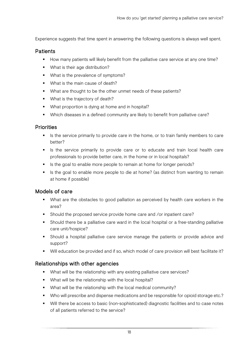Experience suggests that time spent in answering the following questions is always well spent.

#### **Patients**

- How many patients will likely benefit from the palliative care service at any one time?
- **What is their age distribution?**
- **What is the prevalence of symptoms?**
- What is the main cause of death?
- What are thought to be the other unmet needs of these patients?
- **What is the trajectory of death?**
- What proportion is dying at home and in hospital?
- Which diseases in a defined community are likely to benefit from palliative care?

#### **Priorities**

- If Is the service primarily to provide care in the home, or to train family members to care better?
- Is the service primarily to provide care or to educate and train local health care professionals to provide better care, in the home or in local hospitals?
- If Is the goal to enable more people to remain at home for longer periods?
- If als the goal to enable more people to die at home? (as distinct from wanting to remain at home if possible)

#### Models of care

- What are the obstacles to good palliation as perceived by health care workers in the area?
- Should the proposed service provide home care and /or inpatient care?
- Should there be a palliative care ward in the local hospital or a free-standing palliative care unit/hospice?
- Should a hospital palliative care service manage the patients or provide advice and support?
- Will education be provided and if so, which model of care provision will best facilitate it?

#### Relationships with other agencies

- What will be the relationship with any existing palliative care services?
- What will be the relationship with the local hospital?
- What will be the relationship with the local medical community?
- Who will prescribe and dispense medications and be responsible for opioid storage etc.?
- Will there be access to basic (non-sophisticated) diagnostic facilities and to case notes of all patients referred to the service?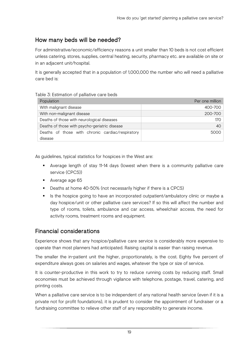## How many beds will be needed?

For administrative/economic/efficiency reasons a unit smaller than 10 beds is not cost efficient unless catering, stores, supplies, central heating, security, pharmacy etc. are available on site or in an adjacent unit/hospital.

It is generally accepted that in a population of 1,000,000 the number who will need a palliative care bed is:

#### Table 3: Estimation of palliative care beds

| Population                                       | Per one million |
|--------------------------------------------------|-----------------|
| With malignant disease                           | 400-700         |
| With non-malignant disease                       | 200-700         |
| Deaths of those with neurological diseases       | 170             |
| Deaths of those with psycho-geriatric disease    | 40              |
| Deaths of those with chronic cardiac/respiratory | 5000            |
| disease                                          |                 |

As guidelines, typical statistics for hospices in the West are:

- Average length of stay 11-14 days (lowest when there is a community palliative care service (CPCS))
- **Average age 65**
- **Deaths at home 40-50% (not necessarily higher if there is a CPCS)**
- If Its the hospice going to have an incorporated outpatient/ambulatory clinic or maybe a day hospice/unit or other palliative care services? If so this will affect the number and type of rooms, toilets, ambulance and car access, wheelchair access, the need for activity rooms, treatment rooms and equipment.

#### Financial considerations

Experience shows that any hospice/palliative care service is considerably more expensive to operate than most planners had anticipated. Raising capital is easier than raising revenue.

The smaller the in-patient unit the higher, proportionately, is the cost. Eighty five percent of expenditure always goes on salaries and wages, whatever the type or size of service.

It is counter-productive in this work to try to reduce running costs by reducing staff. Small economies must be achieved through vigilance with telephone, postage, travel, catering, and printing costs.

When a palliative care service is to be independent of any national health service (even if it is a private not for profit foundations), it is prudent to consider the appointment of fundraiser or a fundraising committee to relieve other staff of any responsibility to generate income.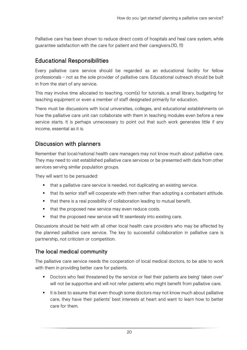Palliative care has been shown to reduce direct costs of hospitals and heal care system, while guarantee satisfaction with the care for patient and their caregivers.(10, 11)

## Educational Responsibilities

Every palliative care service should be regarded as an educational facility for fellow professionals – not as the sole provider of palliative care. Educational outreach should be built in from the start of any service.

This may involve time allocated to teaching, room(s) for tutorials, a small library, budgeting for teaching equipment or even a member of staff designated primarily for education.

There must be discussions with local universities, colleges, and educational establishments on how the palliative care unit can collaborate with them in teaching modules even before a new service starts. It is perhaps unnecessary to point out that such work generates little if any income, essential as it is.

## Discussion with planners

Remember that local/national health care managers may not know much about palliative care. They may need to visit established palliative care services or be presented with data from other services serving similar population groups.

They will want to be persuaded:

- that a palliative care service is needed, not duplicating an existing service.
- that its senior staff will cooperate with them rather than adopting a combatant attitude.
- that there is a real possibility of collaboration leading to mutual benefit.
- that the proposed new service may even reduce costs.
- that the proposed new service will fit seamlessly into existing care.

Discussions should be held with all other local health care providers who may be affected by the planned palliative care service. The key to successful collaboration in palliative care is partnership, not criticism or competition.

#### The local medical community

The palliative care service needs the cooperation of local medical doctors, to be able to work with them in providing better care for patients.

- Doctors who feel threatened by the service or feel their patients are being' taken over' will not be supportive and will not refer patients who might benefit from palliative care.
- It is best to assume that even though some doctors may not know much about palliative care, they have their patients' best interests at heart and want to learn how to better care for them.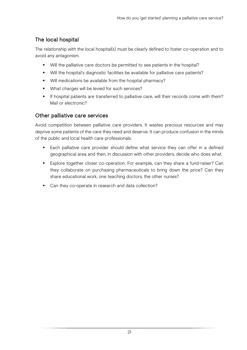## The local hospital

The relationship with the local hospital(s) must be clearly defined to foster co-operation and to avoid any antagonism.

- Will the palliative care doctors be permitted to see patients in the hospital?
- Will the hospital's diagnostic facilities be available for palliative care patients?
- Will medications be available from the hospital pharmacy?
- **What charges will be levied for such services?**
- If hospital patients are transferred to palliative care, will their records come with them? Mail or electronic?

#### Other palliative care services

Avoid competition between palliative care providers. It wastes precious resources and may deprive some patients of the care they need and deserve. It can produce confusion in the minds of the public and local health care professionals.

- **Each palliative care provider should define what service they can offer in a defined** geographical area and then, in discussion with other providers, decide who does what.
- Explore together closer co-operation. For example, can they share a fund-raiser? Can they collaborate on purchasing pharmaceuticals to bring down the price? Can they share educational work, one teaching doctors, the other nurses?
- Can they co-operate in research and data collection?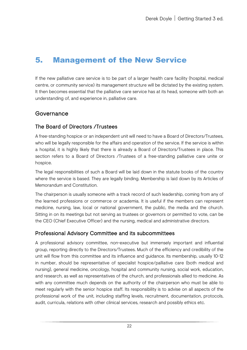# <span id="page-26-0"></span>5. Management of the New Service

If the new palliative care service is to be part of a larger health care facility (hospital, medical centre, or community service) its management structure will be dictated by the existing system. It then becomes essential that the palliative care service has at its head, someone with both an understanding of, and experience in, palliative care.

#### Governance

#### The Board of Directors /Trustees

A free-standing hospice or an independent unit will need to have a Board of Directors/Trustees, who will be legally responsible for the affairs and operation of the service. If the service is within a hospital, it is highly likely that there is already a Board of Directors/Trustees in place. This section refers to a Board of Directors /Trustees of a free-standing palliative care unite or hospice.

The legal responsibilities of such a Board will be laid down in the statute books of the country where the service is based. They are legally binding. Membership is laid down by its Articles of Memorandum and Constitution.

The chairperson is usually someone with a track record of such leadership, coming from any of the learned professions or commerce or academia. It is useful if the members can represent medicine, nursing, law, local or national government, the public, the media and the church. Sitting in on its meetings but not serving as trustees or governors or permitted to vote, can be the CEO (Chief Executive Officer) and the nursing, medical and administrative directors.

#### Professional Advisory Committee and its subcommittees

A professional advisory committee, non-executive but immensely important and influential group, reporting directly to the Directors/Trustees. Much of the efficiency and credibility of the unit will flow from this committee and its influence and guidance. Its membership, usually 10-12 in number, should be representative of specialist hospice/palliative care (both medical and nursing), general medicine, oncology, hospital and community nursing, social work, education, and research, as well as representatives of the church, and professionals allied to medicine. As with any committee much depends on the authority of the chairperson who must be able to meet regularly with the senior hospice staff. Its responsibility is to advise on all aspects of the professional work of the unit, including staffing levels, recruitment, documentation, protocols, audit, curricula, relations with other clinical services, research and possibly ethics etc.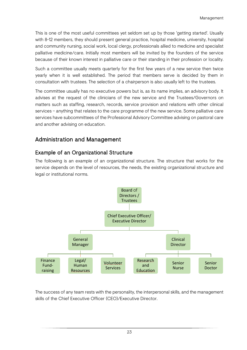This is one of the most useful committees yet seldom set up by those 'getting started'. Usually with 8-12 members, they should present general practice, hospital medicine, university, hospital and community nursing, social work, local clergy, professionals allied to medicine and specialist palliative medicine/care. Initially most members will be invited by the founders of the service because of their known interest in palliative care or their standing in their profession or locality.

Such a committee usually meets quarterly for the first few years of a new service then twice yearly when it is well established. The period that members serve is decided by them in consultation with trustees. The selection of a chairperson is also usually left to the trustees.

The committee usually has no executive powers but is, as its name implies, an advisory body. It advises at the request of the clinicians of the new service and the Trustees/Governors on matters such as staffing, research, records, service provision and relations with other clinical services – anything that relates to the care programme of the new service. Some palliative care services have subcommittees of the Professional Advisory Committee advising on pastoral care and another advising on education.

## Administration and Management

#### Example of an Organizational Structure

The following is an example of an organizational structure. The structure that works for the service depends on the level of resources, the needs, the existing organizational structure and legal or institutional norms.



The success of any team rests with the personality, the interpersonal skills, and the management skills of the Chief Executive Officer (CEO)/Executive Director.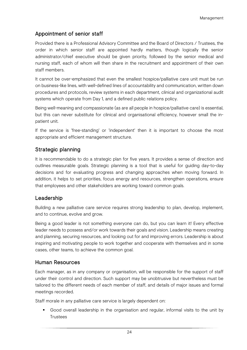#### Appointment of senior staff

Provided there is a Professional Advisory Committee and the Board of Directors / Trustees, the order in which senior staff are appointed hardly matters, though logically the senior administrator/chief executive should be given priority, followed by the senior medical and nursing staff, each of whom will then share in the recruitment and appointment of their own staff members.

It cannot be over-emphasized that even the smallest hospice/palliative care unit must be run on business-like lines, with well-defined lines of accountability and communication, written down procedures and protocols, review systems in each department, clinical and organizational audit systems which operate from Day 1, and a defined public relations policy.

Being well-meaning and compassionate (as are all people in hospice/palliative care) is essential, but this can never substitute for clinical and organisational efficiency, however small the inpatient unit.

If the service is 'free-standing' or 'independent' then it is important to choose the most appropriate and efficient management structure.

#### Strategic planning

It is recommendable to do a strategic plan for five years. It provides a sense of direction and outlines measurable goals. Strategic planning is a tool that is useful for guiding day-to-day decisions and for evaluating progress and changing approaches when moving forward. In addition, it helps to set priorities, focus energy and resources, strengthen operations, ensure that employees and other stakeholders are working toward common goals.

#### Leadership

Building a new palliative care service requires strong leadership to plan, develop, implement, and to continue, evolve and grow.

Being a good leader is not something everyone can do, but you can learn it! Every effective leader needs to possess and/or work towards their goals and vision. Leadership means creating and planning, securing resources, and looking out for and improving errors. Leadership is about inspiring and motivating people to work together and cooperate with themselves and in some cases, other teams, to achieve the common goal.

#### Human Resources

Each manager, as in any company or organisation, will be responsible for the support of staff under their control and direction. Such support may be unobtrusive but nevertheless must be tailored to the different needs of each member of staff, and details of major issues and formal meetings recorded.

Staff morale in any palliative care service is largely dependent on:

 Good overall leadership in the organisation and regular, informal visits to the unit by **Trustees**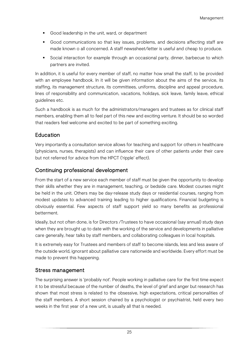- Good leadership in the unit, ward, or department
- Good communications so that key issues, problems, and decisions affecting staff are made known o all concerned. A staff newssheet/letter is useful and cheap to produce.
- Social interaction for example through an occasional party, dinner, barbecue to which partners are invited.

In addition, it is useful for every member of staff, no matter how small the staff, to be provided with an employee handbook. In it will be given information about the aims of the service, its staffing, its management structure, its committees, uniforms, discipline and appeal procedure, lines of responsibility and communication, vacations, holidays, sick leave, family leave, ethical guidelines etc.

Such a handbook is as much for the administrators/managers and trustees as for clinical staff members, enabling them all to feel part of this new and exciting venture. It should be so worded that readers feel welcome and excited to be part of something exciting.

## Education

Very importantly a consultation service allows for teaching and support for others in healthcare (physicians, nurses, therapists) and can influence their care of other patients under their care but not referred for advice from the HPCT ('ripple' effect).

#### Continuing professional development

From the start of a new service each member of staff must be given the opportunity to develop their skills whether they are in management, teaching, or bedside care. Modest courses might be held in the unit. Others may be day-release study days or residential courses, ranging from modest updates to advanced training leading to higher qualifications. Financial budgeting is obviously essential. Few aspects of staff support yield so many benefits as professional betterment.

Ideally, but not often done, is for Directors /Trustees to have occasional (say annual) study days when they are brought up to date with the working of the service and developments in palliative care generally, hear talks by staff members, and collaborating colleagues in local hospitals.

It is extremely easy for Trustees and members of staff to become islands, less and less aware of the outside world, ignorant about palliative care nationwide and worldwide. Every effort must be made to prevent this happening.

#### Stress management

The surprising answer is 'probably not'. People working in palliative care for the first time expect it to be stressful because of the number of deaths, the level of grief and anger but research has shown that most stress is related to the obsessive, high expectations, critical personalities of the staff members. A short session chaired by a psychologist or psychiatrist, held every two weeks in the first year of a new unit, is usually all that is needed.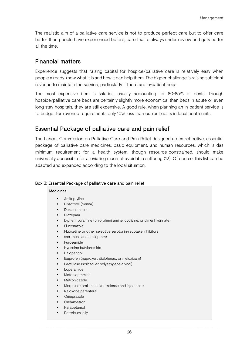The realistic aim of a palliative care service is not to produce perfect care but to offer care better than people have experienced before, care that is always under review and gets better all the time.

## Financial matters

Experience suggests that raising capital for hospice/palliative care is relatively easy when people already know what it is and how it can help them. The bigger challenge is raising sufficient revenue to maintain the service, particularly if there are in-patient beds.

The most expensive item is salaries, usually accounting for 80-85% of costs. Though hospice/palliative care beds are certainly slightly more economical than beds in acute or even long stay hospitals, they are still expensive. A good rule, when planning an in-patient service is to budget for revenue requirements only 10% less than current costs in local acute units.

## Essential Package of palliative care and pain relief

The Lancet Commission on Palliative Care and Pain Relief designed a cost-effective, essential package of palliative care medicines, basic equipment, and human resources, which is das minimum requirement for a health system, though resource-constrained, should make universally accessible for alleviating much of avoidable suffering (12). Of course, this list can be adapted and expanded according to the local situation.

#### Box 3: Essential Package of palliative care and pain relief

#### Medicines

- **Amitriptyline**
- **Bisacodyl (Senna)**
- **Dexamethasone**
- **•** Diazepam
- Diphenhydramine (chlorpheniramine, cyclizine, or dimenhydrinate)
- **Fluconazole**
- Fluoxetine or other selective serotonin-reuptake inhibitors
- (sertraline and citalopram)
- Furosemide
- Hyoscine butylbromide
- **Haloperidol**
- **IDUPROFER (naproxen, diclofenac, or meloxicam)**
- Lactulose (sorbitol or polyethylene glycol)
- Loperamide
- Metoclopramide
- Metronidazole
- Morphine (oral immediate-release and injectable)
- Naloxone parenteral
- Omeprazole
- Ondansetron
- Paracetamol
- Petroleum jelly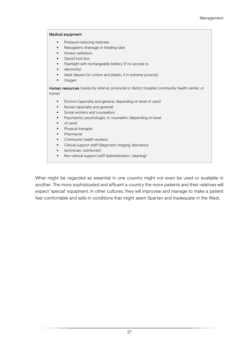#### Medical equipment

- **Pressure-reducing mattress**
- Nasogastric drainage or feeding tube
- Urinary catheters
- Opioid lock box
- **Flashlight with rechargeable battery (if no access to**
- electricity)
- Adult diapers (or cotton and plastic, if in extreme poverty)
- **•** Oxygen

Human resources (varies by referral, provincial or district hospital, community health center, or home)

- Doctors (specialty and general, depending on level of care)
- **Nurses (specialty and general)**
- Social workers and counsellors
- Psychiatrist, psychologist, or counsellor (depending on level
- of care)
- **Physical therapist**
- Pharmacist
- Community health workers
- Clinical support staff (diagnostic imaging, laboratory
- **technician, nutritionist)**
- Non-clinical support staff (administration, cleaning)

What might be regarded as essential in one country might not even be used or available in another. The more sophisticated and affluent a country the more patients and their relatives will expect 'special' equipment. In other cultures, they will improvise and manage to make a patient feel comfortable and safe in conditions that might seem Spartan and inadequate in the West.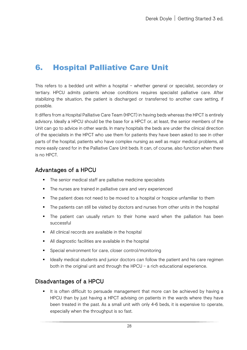# <span id="page-32-0"></span>6. Hospital Palliative Care Unit

This refers to a bedded unit within a hospital – whether general or specialist, secondary or tertiary. HPCU admits patients whose conditions requires specialist palliative care. After stabilizing the situation, the patient is discharged or transferred to another care setting, if possible.

It differs from a Hospital Palliative Care Team (HPCT) in having beds whereas the HPCT is entirely advisory. Ideally a HPCU should be the base for a HPCT or, at least, the senior members of the Unit can go to advice in other wards. In many hospitals the beds are under the clinical direction of the specialists in the HPCT who use them for patients they have been asked to see in other parts of the hospital, patients who have complex nursing as well as major medical problems, all more easily cared for in the Palliative Care Unit beds. It can, of course, also function when there is no HPCT.

#### Advantages of a HPCU

- The senior medical staff are palliative medicine specialists
- The nurses are trained in palliative care and very experienced
- The patient does not need to be moved to a hospital or hospice unfamiliar to them
- The patients can still be visited by doctors and nurses from other units in the hospital
- The patient can usually return to their home ward when the palliation has been successful
- All clinical records are available in the hospital
- All diagnostic facilities are available in the hospital
- Special environment for care, closer control/monitoring
- **IDEALLY** deally medical students and junior doctors can follow the patient and his care regimen both in the original unit and through the HPCU – a rich educational experience.

#### Disadvantages of a HPCU

 It is often difficult to persuade management that more can be achieved by having a HPCU than by just having a HPCT advising on patients in the wards where they have been treated in the past. As a small unit with only 4-6 beds, it is expensive to operate, especially when the throughput is so fast.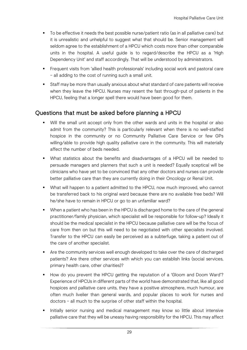- To be effective it needs the best possible nurse/patient ratio (as in all palliative care) but it is unrealistic and unhelpful to suggest what that should be. Senior management will seldom agree to the establishment of a HPCU which costs more than other comparable units in the hospital. A useful guide is to regard/describe the HPCU as a 'High Dependency Unit' and staff accordingly. That will be understood by administrators.
- Frequent visits from 'allied health professionals' including social work and pastoral care – all adding to the cost of running such a small unit.
- Staff may be more than usually anxious about what standard of care patients will receive when they leave the HPCU. Nurses may resent the fast through-put of patients in the HPCU, feeling that a longer spell there would have been good for them.

## Questions that must be asked before planning a HPCU

- Will the small unit accept only from the other wards and units in the hospital or also admit from the community? This is particularly relevant when there is no well-staffed hospice in the community or no Community Palliative Care Service or few GPs willing/able to provide high quality palliative care in the community. This will materially affect the number of beds needed.
- What statistics about the benefits and disadvantages of a HPCU will be needed to persuade managers and planners that such a unit is needed? Equally sceptical will be clinicians who have yet to be convinced that any other doctors and nurses can provide better palliative care than they are currently doing in their Oncology or Renal Unit.
- What will happen to a patient admitted to the HPCU, now much improved, who cannot be transferred back to his original ward because there are no available free beds? Will he/she have to remain in HPCU or go to an unfamiliar ward?
- When a patient who has been in the HPCU is discharged home to the care of the general practitioner/family physician, which specialist will be responsible for follow-up? Ideally it should be the medical specialist in the HPCU because palliative care will be the focus of care from then on but this will need to be negotiated with other specialists involved. Transfer to the HPCU can easily be perceived as a subterfuge, taking a patient out of the care of another specialist.
- **Are the community services well enough developed to take over the care of discharged** patients? Are there other services with which you can establish links (social services, primary health care, other charities)?
- How do you prevent the HPCU getting the reputation of a 'Gloom and Doom Ward'? Experience of HPCUs in different parts of the world have demonstrated that, like all good hospices and palliative care units, they have a positive atmosphere, much humour, are often much livelier than general wards, and popular places to work for nurses and doctors – all much to the surprise of other staff within the hospital.
- Initially senior nursing and medical management may know so little about intensive palliative care that they will be uneasy having responsibility for the HPCU. This may affect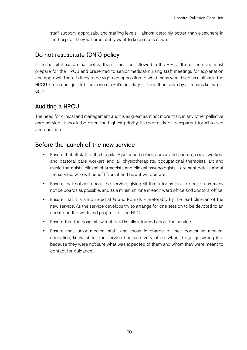staff support, appraisals, and staffing levels – almost certainly better than elsewhere in the hospital. They will predictably want to keep costs down.

## Do not resuscitate (DNR) policy

If the hospital has a clear policy, then it must be followed in the HPCU. If not, then one must prepare for the HPCU and presented to senior medical/nursing staff meetings for explanation and approval. There is likely to be vigorous opposition to what many would see as nihilism in the HPCU. ("You can't just let someone die – it's our duty to keep them alive by all means known to us.")

## Auditing a HPCU

The need for clinical and management audit is as great as, if not more than, in any other palliative care service. It should be given the highest priority; its records kept transparent for all to see and question.

#### Before the launch of the new service

- Ensure that all staff of the hospital junior and senior, nurses and doctors, social workers and pastoral care workers and all physiotherapists, occupational therapists, art and music therapists, clinical pharmacists and clinical psychologists – are sent details about the service, who will benefit from it and how it will operate.
- Ensure that notices about the service, giving all that information, are put on as many notice boards as possible, and as a minimum, one in each ward office and doctors' office.
- Ensure that it is announced at Grand Rounds preferably by the lead clinician of the new service. As the service develops try to arrange for one session to be devoted to an update on the work and progress of the HPCT.
- **Ensure that the hospital switchboard is fully informed about the service.**
- Ensure that junior medical staff, and those in charge of their continuing medical education, know about the service because, very often, when things go wrong it is because they were not sure what was expected of them and whom they were meant to contact for guidance.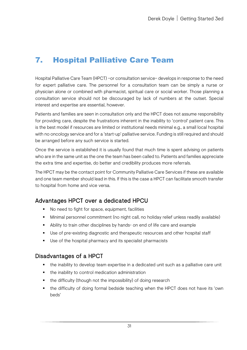# <span id="page-35-0"></span>7. Hospital Palliative Care Team

Hospital Palliative Care Team (HPCT) –or consultation service– develops in response to the need for expert palliative care. The personnel for a consultation team can be simply a nurse or physician alone or combined with pharmacist, spiritual care or social worker. Those planning a consultation service should not be discouraged by lack of numbers at the outset. Special interest and expertise are essential, however.

Patients and families are seen in consultation only and the HPCT does not assume responsibility for providing care, despite the frustrations inherent in the inability to 'control' patient care. This is the best model if resources are limited or institutional needs minimal e.g., a small local hospital with no oncology service and for a 'start-up' palliative service. Funding is still required and should be arranged before any such service is started.

Once the service is established it is usually found that much time is spent advising on patients who are in the same unit as the one the team has been called to. Patients and families appreciate the extra time and expertise, do better and credibility produces more referrals.

The HPCT may be the contact point for Community Palliative Care Services if these are available and one team member should lead in this. If this is the case a HPCT can facilitate smooth transfer to hospital from home and vice versa.

## Advantages HPCT over a dedicated HPCU

- No need to fight for space, equipment, facilities
- Minimal personnel commitment (no night call, no holiday relief unless readily available)
- Ability to train other disciplines by hands- on end of life care and example
- Use of pre-existing diagnostic and therapeutic resources and other hospital staff
- Use of the hospital pharmacy and its specialist pharmacists

#### Disadvantages of a HPCT

- the inability to develop team expertise in a dedicated unit such as a palliative care unit
- the inability to control medication administration
- the difficulty (though not the impossibility) of doing research
- the difficulty of doing formal bedside teaching when the HPCT does not have its 'own beds'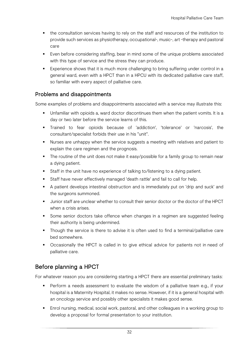- the consultation services having to rely on the staff and resources of the institution to provide such services as physiotherapy, occupational-, music-, art -therapy and pastoral care
- Even before considering staffing, bear in mind some of the unique problems associated with this type of service and the stress they can produce.
- Experience shows that it is much more challenging to bring suffering under control in a general ward, even with a HPCT than in a HPCU with its dedicated palliative care staff, so familiar with every aspect of palliative care.

#### Problems and disappointments

Some examples of problems and disappointments associated with a service may illustrate this:

- Unfamiliar with opioids a, ward doctor discontinues them when the patient vomits. It is a day or two later before the service learns of this.
- Trained to fear opioids because of 'addiction', 'tolerance' or 'narcosis', the consultant/specialist forbids their use in his "unit".
- Nurses are unhappy when the service suggests a meeting with relatives and patient to explain the care regimen and the prognosis.
- The routine of the unit does not make it easy/possible for a family group to remain near a dying patient.
- Staff in the unit have no experience of talking to/listening to a dying patient.
- Staff have never effectively managed 'death rattle' and fail to call for help.
- A patient develops intestinal obstruction and is immediately put on 'drip and suck' and the surgeons summoned.
- Junior staff are unclear whether to consult their senior doctor or the doctor of the HPCT when a crisis arises.
- Some senior doctors take offence when changes in a regimen are suggested feeling their authority is being undermined.
- Though the service is there to advise it is often used to find a terminal/palliative care bed somewhere.
- Occasionally the HPCT is called in to give ethical advice for patients not in need of palliative care.

# Before planning a HPCT

For whatever reason you are considering starting a HPCT there are essential preliminary tasks:

- Perform a needs assessment to evaluate the wisdom of a palliative team e.g., if your hospital is a Maternity Hospital, it makes no sense. However, if it is a general hospital with an oncology service and possibly other specialists it makes good sense.
- **Enrol nursing, medical, social work, pastoral, and other colleagues in a working group to** develop a proposal for formal presentation to your institution.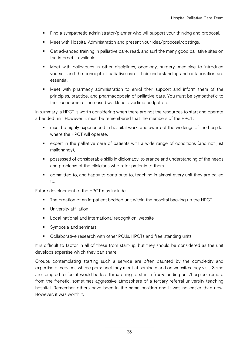- Find a sympathetic administrator/planner who will support your thinking and proposal.
- **Meet with Hospital Administration and present your idea/proposal/costings.**
- Get advanced training in palliative care, read, and surf the many good palliative sites on the internet if available.
- Meet with colleagues in other disciplines, oncology, surgery, medicine to introduce yourself and the concept of palliative care. Their understanding and collaboration are essential.
- Meet with pharmacy administration to enrol their support and inform them of the principles, practice, and pharmacopoeia of palliative care. You must be sympathetic to their concerns re: increased workload, overtime budget etc.

In summary, a HPCT is worth considering when there are not the resources to start and operate a bedded unit. However, it must be remembered that the members of the HPCT:

- **nust be highly experienced in hospital work, and aware of the workings of the hospital** where the HPCT will operate.
- expert in the palliative care of patients with a wide range of conditions (and not just malignancy),
- **Perm** possessed of considerable skills in diplomacy, tolerance and understanding of the needs and problems of the clinicians who refer patients to them.
- **•** committed to, and happy to contribute to, teaching in almost every unit they are called to.

Future development of the HPCT may include:

- The creation of an in-patient bedded unit within the hospital backing up the HPCT.
- **University affiliation**
- **Local national and international recognition, website**
- Symposia and seminars
- Collaborative research with other PCUs, HPCTs and free-standing units

It is difficult to factor in all of these from start-up, but they should be considered as the unit develops expertise which they can share.

Groups contemplating starting such a service are often daunted by the complexity and expertise of services whose personnel they meet at seminars and on websites they visit. Some are tempted to feel it would be less threatening to start a free-standing unit/hospice, remote from the frenetic, sometimes aggressive atmosphere of a tertiary referral university teaching hospital. Remember others have been in the same position and it was no easier than now. However, it was worth it.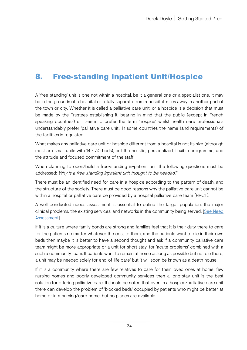# 8. Free-standing Inpatient Unit/Hospice

A 'free-standing' unit is one not within a hospital, be it a general one or a specialist one. It may be in the grounds of a hospital or totally separate from a hospital, miles away in another part of the town or city. Whether it is called a palliative care unit, or a hospice is a decision that must be made by the Trustees establishing it, bearing in mind that the public (except in French speaking countries) still seem to prefer the term 'hospice' whilst health care professionals understandably prefer 'palliative care unit'. In some countries the name (and requirements) of the facilities is regulated.

What makes any palliative care unit or hospice different from a hospital is not its size (although most are small units with 14 - 30 beds), but the holistic, personalized, flexible programme, and the attitude and focused commitment of the staff.

When planning to open/build a free-standing in-patient unit the following questions must be addressed: Why is a free-standing inpatient unit thought to be needed?

There must be an identified need for care in a hospice according to the pattern of death, and the structure of the society. There must be good reasons why the palliative care unit cannot be within a hospital or palliative care be provided by a hospital palliative care team (HPCT).

A well conducted needs assessment is essential to define the target population, the major clinical problems, the existing services, and networks in the community being served. [See Need [Assessment\]](#page-21-0)

If it is a culture where family bonds are strong and families feel that it is their duty there to care for the patients no matter whatever the cost to them, and the patients want to die in their own beds then maybe it is better to have a second thought and ask if a community palliative care team might be more appropriate or a unit for short stay, for 'acute problems' combined with a such a community team. If patients want to remain at home as long as possible but not die there, a unit may be needed solely for end-of-life care' but it will soon be known as a death house.

If it is a community where there are few relatives to care for their loved ones at home, few nursing homes and poorly developed community services then a long-stay unit is the best solution for offering palliative care. It should be noted that even in a hospice/palliative care unit there can develop the problem of 'blocked beds' occupied by patients who might be better at home or in a nursing/care home, but no places are available.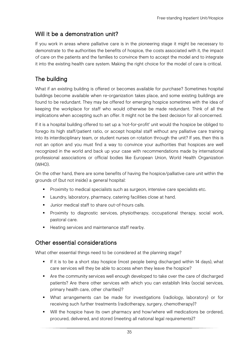# Will it be a demonstration unit?

If you work in areas where palliative care is in the pioneering stage it might be necessary to demonstrate to the authorities the benefits of hospice, the costs associated with it, the impact of care on the patients and the families to convince them to accept the model and to integrate it into the existing health care system. Making the right choice for the model of care is critical.

# The building

What if an existing building is offered or becomes available for purchase? Sometimes hospital buildings become available when re-organization takes place, and some existing buildings are found to be redundant. They may be offered for emerging hospice sometimes with the idea of keeping the workplace for staff who would otherwise be made redundant. Think of all the implications when accepting such an offer. It might not be the best decision for all concerned.

If it is a hospital building offered to set up a 'not-for-profit' unit would the hospice be obliged to forego its high staff/patient ratio, or accept hospital staff without any palliative care training into its interdisciplinary team, or student nurses on rotation through the unit? If yes, then this is not an option and you must find a way to convince your authorities that hospices are well recognized in the world and back up your case with recommendations made by international professional associations or official bodies like European Union, World Health Organization (WHO).

On the other hand, there are some benefits of having the hospice/palliative care unit within the grounds of (but not inside) a general hospital:

- **Proximity to medical specialists such as surgeon, intensive care specialists etc.**
- **Laundry, laboratory, pharmacy, catering facilities close at hand.**
- Uunior medical staff to share out-of-hours calls.
- Proximity to diagnostic services, physiotherapy, occupational therapy, social work, pastoral care.
- Heating services and maintenance staff nearby.

# Other essential considerations

What other essential things need to be considered at the planning stage?

- If it is to be a short stay hospice (most people being discharged within 14 days), what care services will they be able to access when they leave the hospice?
- Are the community services well enough developed to take over the care of discharged patients? Are there other services with which you can establish links (social services, primary health care, other charities)?
- What arrangements can be made for investigations (radiology, laboratory) or for receiving such further treatments (radiotherapy, surgery, chemotherapy)?
- Will the hospice have its own pharmacy and how/where will medications be ordered, procured, delivered, and stored (meeting all national legal requirements)?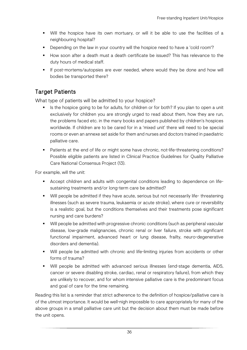- Will the hospice have its own mortuary, or will it be able to use the facilities of a neighbouring hospital?
- Depending on the law in your country will the hospice need to have a 'cold room'?
- How soon after a death must a death certificate be issued? This has relevance to the duty hours of medical staff.
- If post-mortems/autopsies are ever needed, where would they be done and how will bodies be transported there?

# Target Patients

What type of patients will be admitted to your hospice?

- Is the hospice going to be for adults, for children or for both? If you plan to open a unit exclusively for children you are strongly urged to read about them, how they are run, the problems faced etc. in the many books and papers published by children's hospices worldwide. If children are to be cared for in a 'mixed unit' there will need to be special rooms or even an annexe set aside for them and nurses and doctors trained in paediatric palliative care.
- Patients at the end of life or might some have chronic, not-life-threatening conditions? Possible eligible patients are listed in Clinical Practice Guidelines for Quality Palliative Care National Consensus Project (13).

For example, will the unit:

- Accept children and adults with congenital conditions leading to dependence on lifesustaining treatments and/or long-term care be admitted?
- Will people be admitted if they have acute, serious but not necessarily life- threatening illnesses (such as severe trauma, leukaemia or acute stroke), where cure or reversibility is a realistic goal, but the conditions themselves and their treatments pose significant nursing and care burdens?
- Will people be admitted with progressive chronic conditions (such as peripheral vascular disease, low-grade malignancies, chronic renal or liver failure, stroke with significant functional impairment, advanced heart or lung disease, frailty, neuro-degenerative disorders and dementia).
- Will people be admitted with chronic and life-limiting injuries from accidents or other forms of trauma?
- Will people be admitted with advanced serious illnesses (end-stage dementia, AIDS, cancer or severe disabling stroke, cardiac, renal or respiratory failure), from which they are unlikely to recover, and for whom intensive palliative care is the predominant focus and goal of care for the time remaining.

Reading this list is a reminder that strict adherence to the definition of hospice/palliative care is of the utmost importance. It would be well-nigh impossible to care appropriately for many of the above groups in a small palliative care unit but the decision about them must be made before the unit opens.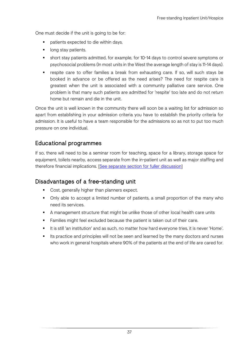One must decide if the unit is going to be for:

- patients expected to die within days.
- **If** long stay patients.
- short stay patients admitted, for example, for 10-14 days to control severe symptoms or psychosocial problems (In most units in the West the average length of stay is 11-14 days).
- respite care to offer families a break from exhausting care. If so, will such stays be booked in advance or be offered as the need arises? The need for respite care is greatest when the unit is associated with a community palliative care service. One problem is that many such patients are admitted for 'respite' too late and do not return home but remain and die in the unit.

Once the unit is well known in the community there will soon be a waiting list for admission so apart from establishing in your admission criteria you have to establish the priority criteria for admission. It is useful to have a team responsible for the admissions so as not to put too much pressure on one individual.

# Educational programmes

If so, there will need to be a seminar room for teaching, space for a library, storage space for equipment, toilets nearby, access separate from the in-patient unit as well as major staffing and therefore financial implications. [\[See separate section for fuller discussion\]](#page-65-0)

## Disadvantages of a free-standing unit

- Cost, generally higher than planners expect.
- Only able to accept a limited number of patients, a small proportion of the many who need its services.
- A management structure that might be unlike those of other local health care units
- **Families might feel excluded because the patient is taken out of their care.**
- It is still 'an institution' and as such, no matter how hard everyone tries, it is never 'Home'.
- Its practice and principles will not be seen and learned by the many doctors and nurses who work in general hospitals where 90% of the patients at the end of life are cared for.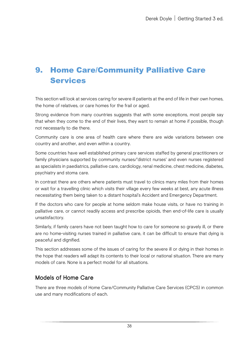# 9. Home Care/Community Palliative Care Services

This section will look at services caring for severe ill patients at the end of life in their own homes, the home of relatives, or care homes for the frail or aged.

Strong evidence from many countries suggests that with some exceptions, most people say that when they come to the end of their lives, they want to remain at home if possible, though not necessarily to die there.

Community care is one area of health care where there are wide variations between one country and another, and even within a country.

Some countries have well established primary care services staffed by general practitioners or family physicians supported by community nurses/'district nurses' and even nurses registered as specialists in paediatrics, palliative care, cardiology, renal medicine, chest medicine, diabetes, psychiatry and stoma care.

In contrast there are others where patients must travel to clinics many miles from their homes or wait for a travelling clinic which visits their village every few weeks at best, any acute illness necessitating them being taken to a distant hospital's Accident and Emergency Department.

If the doctors who care for people at home seldom make house visits, or have no training in palliative care, or cannot readily access and prescribe opioids, then end-of-life care is usually unsatisfactory.

Similarly, if family carers have not been taught how to care for someone so gravely ill, or there are no home-visiting nurses trained in palliative care, it can be difficult to ensure that dying is peaceful and dignified.

This section addresses some of the issues of caring for the severe ill or dying in their homes in the hope that readers will adapt its contents to their local or national situation. There are many models of care. None is a perfect model for all situations.

## Models of Home Care

There are three models of Home Care/Community Palliative Care Services (CPCS) in common use and many modifications of each.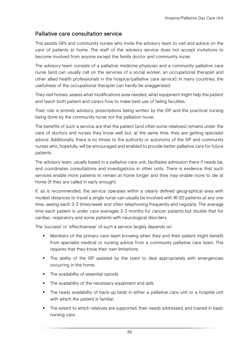#### Palliative care consultation service

This assists GPs and community nurses who invite the advisory team to visit and advice on the care of patients at home. The staff of the advisory service does not accept invitations to become involved from anyone except the family doctor and community nurse.

The advisory team consists of a palliative medicine physician and a community palliative care nurse (and can usually call on the services of a social worker, an occupational therapist and other allied health professionals in the hospice/palliative care service). In many countries, the usefulness of the occupational therapist can hardly be exaggerated.

They visit homes, assess what modifications area needed, what equipment might help the patient and teach both patient and carers how to make best use of failing faculties.

Their role is entirely advisory, prescriptions being written by the GP and the practical nursing being done by the community nurse not the palliation nurse.

The benefits of such a service are that the patient (and often some relatives) remains under the care of doctors and nurses they know well but, at the same time, they are getting specialist advice. Additionally, there is no threat to the authority or autonomy of the GP and community nurses who, hopefully, will be encouraged and enabled to provide better palliative care for future patients.

The advisory team, usually based in a palliative care unit, facilitates admission there if needs be, and coordinates consultations and investigations in other units. There is evidence that such services enable more patients to remain at home longer and they may enable more to die at home (if they are called in early enough).

If, as is recommended, the service operates within a clearly defined geographical area with modest distances to travel a single nurse can usually be involved with 16-20 patients at any one time, seeing each 2-3 times/week and often telephoning frequently and regularly. The average time each patient is under care averages 2-3 months for cancer patients but double that for cardiac, respiratory and some patients with neurological disorders.

The 'success' or 'effectiveness' of such a service largely depends on:

- Members of the primary care team knowing when they and their patient might benefit from specialist medical or nursing advice from a community palliative care team. This requires that they know their own limitations.
- The ability of the GP assisted by the team to deal appropriately with emergencies occurring in the home.
- The availability of essential opioids
- The availability of the necessary equipment and aids
- The ready availability of back-up beds in either a palliative care unit or a hospital unit with which the patient is familiar.
- The extent to which relatives are supported, their needs addressed, and trained in basic nursing care.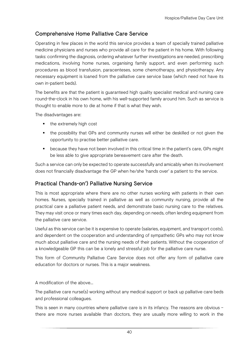## Comprehensive Home Palliative Care Service

Operating in few places in the world this service provides a team of specially trained palliative medicine physicians and nurses who provide all care for the patient in his home. With following tasks: confirming the diagnosis, ordering whatever further investigations are needed, prescribing medications, involving home nurses, organising family support, and even performing such procedures as blood transfusion, paracenteses, some chemotherapy, and physiotherapy. Any necessary equipment is loaned from the palliative care service base (which need not have its own in-patient beds).

The benefits are that the patient is guaranteed high quality specialist medical and nursing care round-the-clock in his own home, with his well-supported family around him. Such as service is thought to enable more to die at home if that is what they wish.

The disadvantages are:

- the extremely high cost
- the possibility that GPs and community nurses will either be deskilled or not given the opportunity to practise better palliative care.
- because they have not been involved in this critical time in the patient's care, GPs might be less able to give appropriate bereavement care after the death.

Such a service can only be expected to operate successfully and amicably when its involvement does not financially disadvantage the GP when he/she 'hands over' a patient to the service.

## Practical ('hands-on') Palliative Nursing Service

This is most appropriate where there are no other nurses working with patients in their own homes. Nurses, specially trained in palliative as well as community nursing, provide all the practical care a palliative patient needs, and demonstrate basic nursing care to the relatives. They may visit once or many times each day, depending on needs, often lending equipment from the palliative care service.

Useful as this service can be it is expensive to operate (salaries, equipment, and transport costs), and dependent on the cooperation and understanding of sympathetic GPs who may not know much about palliative care and the nursing needs of their patients. Without the cooperation of a knowledgeable GP this can be a lonely and stressful job for the palliative care nurse.

This form of Community Palliative Care Service does not offer any form of palliative care education for doctors or nurses. This is a major weakness.

A modification of the above…

The palliative care nurse(s) working without any medical support or back up palliative care beds and professional colleagues.

This is seen in many countries where palliative care is in its infancy. The reasons are obvious – there are more nurses available than doctors, they are usually more willing to work in the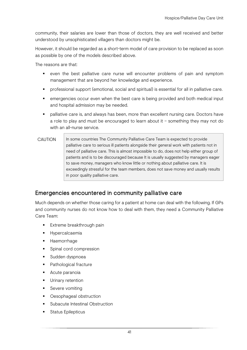community, their salaries are lower than those of doctors, they are well received and better understood by unsophisticated villagers than doctors might be.

However, it should be regarded as a short-term model of care provision to be replaced as soon as possible by one of the models described above.

The reasons are that:

- even the best palliative care nurse will encounter problems of pain and symptom management that are beyond her knowledge and experience.
- professional support (emotional, social and spiritual) is essential for all in palliative care.
- emergencies occur even when the best care is being provided and both medical input and hospital admission may be needed.
- palliative care is, and always has been, more than excellent nursing care. Doctors have a role to play and must be encouraged to learn about it – something they may not do with an all-nurse service.

CAUTION In some countries The Community Palliative Care Team is expected to provide palliative care to serious ill patients alongside their general work with patients not in need of palliative care. This is almost impossible to do, does not help either group of patients and is to be discouraged because It is usually suggested by managers eager to save money, managers who know little or nothing about palliative care. It is exceedingly stressful for the team members, does not save money and usually results in poor quality palliative care.

## Emergencies encountered in community palliative care

Much depends on whether those caring for a patient at home can deal with the following. If GPs and community nurses do not know how to deal with them, they need a Community Palliative Care Team:

- Extreme breakthrough pain
- **Hypercalcaemia**
- **-** Haemorrhage
- **Spinal cord compression**
- **Sudden dyspnoea**
- Pathological fracture
- **Acute paranoia**
- **Urinary retention**
- Severe vomiting
- Oesophageal obstruction
- Subacute Intestinal Obstruction
- **Status Epilepticus**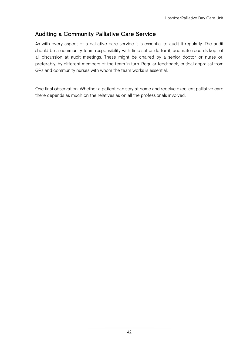# Auditing a Community Palliative Care Service

As with every aspect of a palliative care service it is essential to audit it regularly. The audit should be a community team responsibility with time set aside for it, accurate records kept of all discussion at audit meetings. These might be chaired by a senior doctor or nurse or, preferably, by different members of the team in turn. Regular feed-back, critical appraisal from GPs and community nurses with whom the team works is essential.

One final observation: Whether a patient can stay at home and receive excellent palliative care there depends as much on the relatives as on all the professionals involved.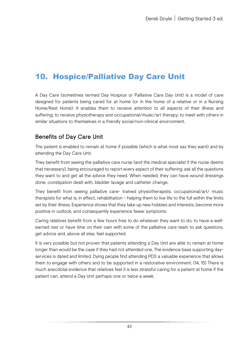# 10. Hospice/Palliative Day Care Unit

A Day Care (sometimes termed Day Hospice or Palliative Care Day Unit) is a model of care designed for patients being cared for at home (or in the home of a relative or in a Nursing Home/Rest Home). It enables them to receive attention to all aspects of their illness and suffering; to receive physiotherapy and occupational/music/art therapy; to meet with others in similar situations to themselves in a friendly social/non-clinical environment.

# Benefits of Day Care Unit

The patient is enabled to remain at home if possible (which is what most say they want) and by attending the Day Care Unit.

They benefit from seeing the palliative care nurse (and the medical specialist if the nurse deems that necessary), being encouraged to report every aspect of their suffering, ask all the questions they want to and get all the advice they need. When needed, they can have wound dressings done, constipation dealt with, bladder lavage and catheter change.

They benefit from seeing palliative care- trained physiotherapists, occupational/art/ music therapists for what is, in effect, rehabilitation – helping them to live life to the full within the limits set by their illness. Experience shows that they take up new hobbies and interests, become more positive in outlook, and consequently experience fewer symptoms.

Caring relatives benefit from a few hours free to do whatever they want to do, to have a wellearned rest or have time on their own with some of the palliative care team to ask questions, get advice and, above all else, feel supported.

It is very possible but not proven that patients attending a Day Unit are able to remain at home longer than would be the case if they had not attended one. The evidence base supporting dayservices is dated and limited. Dying people find attending PDS a valuable experience that allows them to engage with others and to be supported in a restorative environment. (14, 15) There is much anecdotal evidence that relatives feel it is less stressful caring for a patient at home if the patient can, attend a Day Unit perhaps one or twice a week.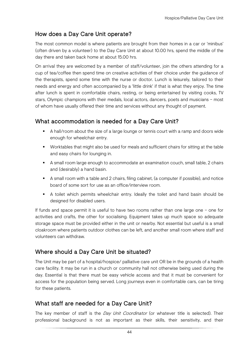# How does a Day Care Unit operate?

The most common model is where patients are brought from their homes in a car or 'minibus' (often driven by a volunteer) to the Day Care Unit at about 10.00 hrs, spend the middle of the day there and taken back home at about 15.00 hrs.

On arrival they are welcomed by a member of staff/volunteer, join the others attending for a cup of tea/coffee then spend time on creative activities of their choice under the guidance of the therapists, spend some time with the nurse or doctor. Lunch is leisurely, tailored to their needs and energy and often accompanied by a 'little drink' if that is what they enjoy. The time after lunch is spent in comfortable chairs, resting, or being entertained by visiting cooks, TV stars, Olympic champions with their medals, local actors, dancers, poets and musicians – most of whom have usually offered their time and services without any thought of payment.

# What accommodation is needed for a Day Care Unit?

- A hall/room about the size of a large lounge or tennis court with a ramp and doors wide enough for wheelchair entry.
- Worktables that might also be used for meals and sufficient chairs for sitting at the table and easy chairs for lounging in.
- A small room large enough to accommodate an examination couch, small table, 2 chairs and (desirably) a hand basin.
- A small room with a table and 2 chairs, filing cabinet, (a computer if possible), and notice board of some sort for use as an office/interview room.
- A toilet which permits wheelchair entry. Ideally the toilet and hand basin should be designed for disabled users.

If funds and space permit it is useful to have two rooms rather than one large one – one for activities and crafts, the other for socialising. Equipment takes up much space so adequate storage space must be provided either in the unit or nearby. Not essential but useful is a small cloakroom where patients outdoor clothes can be left, and another small room where staff and volunteers can withdraw.

# Where should a Day Care Unit be situated?

The Unit may be part of a hospital/hospice/ palliative care unit OR be in the grounds of a health care facility. It may be run in a church or community hall not otherwise being used during the day. Essential is that there must be easy vehicle access and that it must be convenient for access for the population being served. Long journeys even in comfortable cars, can be tiring for these patients.

# What staff are needed for a Day Care Unit?

The key member of staff is the Day Unit Coordinator (or whatever title is selected). Their professional background is not as important as their skills, their sensitivity, and their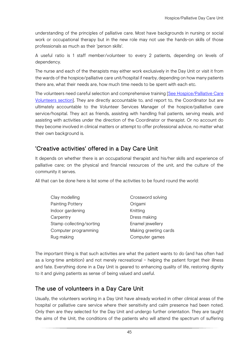understanding of the principles of palliative care. Most have backgrounds in nursing or social work or occupational therapy but in the new role may not use the hands-on skills of those professionals as much as their 'person skills'.

A useful ratio is 1 staff member/volunteer to every 2 patients, depending on levels of dependency.

The nurse and each of the therapists may either work exclusively in the Day Unit or visit it from the wards of the hospice/palliative care unit/hospital if nearby, depending on how many patients there are, what their needs are, how much time needs to be spent with each etc.

The volunteers need careful selection and comprehensive training [\[See Hospice/Palliative Care](#page-60-0)  [Volunteers section\]](#page-60-0). They are directly accountable to, and report to, the Coordinator but are ultimately accountable to the Volunteer Services Manager of the hospice/palliative care service/hospital. They act as friends, assisting with handling frail patients, serving meals, and assisting with activities under the direction of the Coordinator or therapist. Or no account do they become involved in clinical matters or attempt to offer professional advice, no matter what their own background is.

# 'Creative activities' offered in a Day Care Unit

It depends on whether there is an occupational therapist and his/her skills and experience of palliative care; on the physical and financial resources of the unit, and the culture of the community it serves.

All that can be done here is list some of the activities to be found round the world:

| Clay modelling           | Crossword solving     |
|--------------------------|-----------------------|
| Painting Pottery         | Origami               |
| Indoor gardening         | Knitting              |
| Carpentry                | Dress making          |
| Stamp collecting/sorting | Enamel jewellery      |
| Computer programming     | Making greeting cards |
| Rug making               | Computer games        |

The important thing is that such activities are what the patient wants to do (and has often had as a long-time ambition) and not merely recreational – helping the patient forget their illness and fate. Everything done in a Day Unit is geared to enhancing quality of life, restoring dignity to it and giving patients as sense of being valued and useful.

## The use of volunteers in a Day Care Unit

Usually, the volunteers working in a Day Unit have already worked in other clinical areas of the hospital or palliative care service where their sensitivity and calm presence had been noted. Only then are they selected for the Day Unit and undergo further orientation. They are taught the aims of the Unit, the conditions of the patients who will attend the spectrum of suffering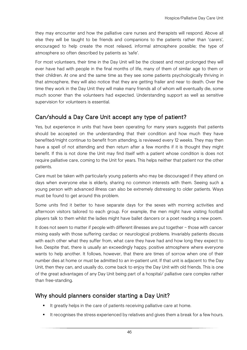they may encounter and how the palliative care nurses and therapists will respond. Above all else they will be taught to be friends and companions to the patients rather than 'carers', encouraged to help create the most relaxed, informal atmosphere possible; the type of atmosphere so often described by patients as 'safe'.

For most volunteers, their time in the Day Unit will be the closest and most prolonged they will ever have had with people in the final months of life, many of them of similar age to them or their children. At one and the same time as they see some patients psychologically thriving in that atmosphere, they will also notice that they are getting frailer and near to death. Over the time they work in the Day Unit they will make many friends all of whom will eventually die, some much sooner than the volunteers had expected. Understanding support as well as sensitive supervision for volunteers is essential.

# Can/should a Day Care Unit accept any type of patient?

Yes, but experience in units that have been operating for many years suggests that patients should be accepted on the understanding that their condition and how much they have benefited/might continue to benefit from attending, is reviewed every 12 weeks. They may then have a spell of not attending and then return after a few months if it is thought they might benefit. If this is not done the Unit may find itself with a patient whose condition is does not require palliative care, coming to the Unit for years. This helps neither that patient nor the other patients.

Care must be taken with particularly young patients who may be discouraged if they attend on days when everyone else is elderly, sharing no common interests with them. Seeing such a young person with advanced illness can also be extremely distressing to older patients. Ways must be found to get around this problem.

Some units find it better to have separate days for the sexes with morning activities and afternoon visitors tailored to each group. For example, the men might have visiting football players talk to them whilst the ladies might have ballet dancers or a poet reading a new poem.

It does not seem to matter if people with different illnesses are put together – those with cancer mixing easily with those suffering cardiac or neurological problems. Invariably patients discuss with each other what they suffer from, what care they have had and how long they expect to live. Despite that, there is usually an exceedingly happy, positive atmosphere where everyone wants to help another. It follows, however, that there are times of sorrow when one of their number dies at home or must be admitted to an in-patient unit. If that unit is adjacent to the Day Unit, then they can, and usually do, come back to enjoy the Day Unit with old friends. This is one of the great advantages of any Day Unit being part of a hospital/ palliative care complex rather than free-standing.

# Why should planners consider starting a Day Unit?

- It greatly helps in the care of patients receiving palliative care at home.
- It recognises the stress experienced by relatives and gives them a break for a few hours.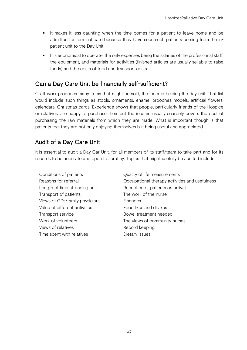- It makes it less daunting when the time comes for a patient to leave home and be admitted for terminal care because they have seen such patients coming from the inpatient unit to the Day Unit.
- It is economical to operate, the only expenses being the salaries of the professional staff, the equipment, and materials for activities (finished articles are usually sellable to raise funds) and the costs of food and transport costs.

# Can a Day Care Unit be financially self-sufficient?

Craft work produces many items that might be sold, the income helping the day unit. That list would include such things as stools, ornaments, enamel brooches, models, artificial flowers, calendars, Christmas cards. Experience shows that people, particularly friends of the Hospice or relatives, are happy to purchase them but the income usually scarcely covers the cost of purchasing the raw materials from which they are made. What is important though is that patients feel they are not only enjoying themselves but being useful and appreciated.

# Audit of a Day Care Unit

It is essential to audit a Day Car Unit, for all members of its staff/team to take part and for its records to be accurate and open to scrutiny. Topics that might usefully be audited include:

- Conditions of patients Conditions of patients Transport of patients The work of the nurse Views of GPs/family physicians Finances Value of different activities Food likes and dislikes Transport service **Bowel treatment needed** Views of relatives and the cord keeping Time spent with relatives Time spent with relatives
- Reasons for referral Occupational therapy activities and usefulness Length of time attending unit **Reception of patients on arrival** Work of volunteers The views of community nurses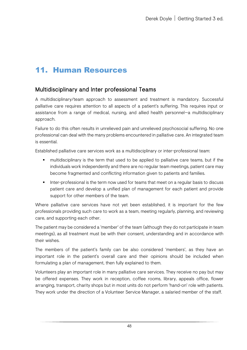# 11. Human Resources

# Multidisciplinary and Inter professional Teams

A multidisciplinary/team approach to assessment and treatment is mandatory. Successful palliative care requires attention to all aspects of a patient's suffering. This requires input or assistance from a range of medical, nursing, and allied health personnel—a multidisciplinary approach.

Failure to do this often results in unrelieved pain and unrelieved psychosocial suffering. No one professional can deal with the many problems encountered in palliative care. An integrated team is essential.

Established palliative care services work as a multidisciplinary or inter-professional team:

- multidisciplinary is the term that used to be applied to palliative care teams, but if the individuals work independently and there are no regular team meetings, patient care may become fragmented and conflicting information given to patients and families.
- Inter-professional is the term now used for teams that meet on a regular basis to discuss patient care and develop a unified plan of management for each patient and provide support for other members of the team.

Where palliative care services have not yet been established, it is important for the few professionals providing such care to work as a team, meeting regularly, planning, and reviewing care, and supporting each other.

The patient may be considered a 'member' of the team (although they do not participate in team meetings), as all treatment must be with their consent, understanding and in accordance with their wishes.

The members of the patient's family can be also considered 'members', as they have an important role in the patient's overall care and their opinions should be included when formulating a plan of management, then fully explained to them.

Volunteers play an important role in many palliative care services. They receive no pay but may be offered expenses. They work in reception, coffee rooms, library, appeals office, flower arranging, transport, charity shops but in most units do not perform 'hand-on' role with patients. They work under the direction of a Volunteer Service Manager, a salaried member of the staff.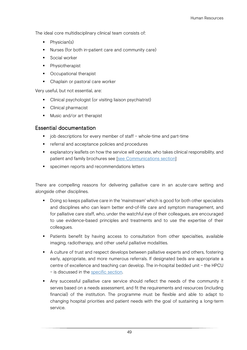The ideal core multidisciplinary clinical team consists of:

- Physician(s)
- Nurses (for both in-patient care and community care)
- **Social worker**
- **•** Physiotherapist
- Occupational therapist
- Chaplain or pastoral care worker

Very useful, but not essential, are:

- Clinical psychologist (or visiting liaison psychiatrist)
- Clinical pharmacist
- Music and/or art therapist

#### Essential documentation

- job descriptions for every member of staff whole-time and part-time
- **F** referral and acceptance policies and procedures
- explanatory leaflets on how the service will operate, who takes clinical responsibility, and patient and family brochures see [\[see Communications section\]](#page-73-0)
- **EXEC** specimen reports and recommendations letters

There are compelling reasons for delivering palliative care in an acute-care setting and alongside other disciplines.

- **Doing so keeps palliative care in the 'mainstream' which is good for both other specialists** and disciplines who can learn better end-of-life care and symptom management, and for palliative care staff, who, under the watchful eye of their colleagues, are encouraged to use evidence-based principles and treatments and to use the expertise of their colleagues.
- Patients benefit by having access to consultation from other specialties, available imaging, radiotherapy, and other useful palliative modalities.
- A culture of trust and respect develops between palliative experts and others, fostering early, appropriate, and more numerous referrals. If designated beds are appropriate a centre of excellence and teaching can develop. The in-hospital bedded unit – the HPCU – is discussed in the [specific section.](#page-32-0)
- Any successful palliative care service should reflect the needs of the community it serves based on a needs assessment, and fit the requirements and resources (including financial) of the institution. The programme must be flexible and able to adapt to changing hospital priorities and patient needs with the goal of sustaining a long-term service.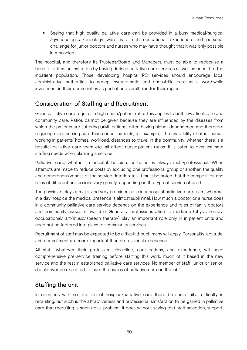Seeing that high quality palliative care can be provided in a busy medical/surgical /gynaecological/oncology ward is a rich educational experience and personal challenge for junior doctors and nurses who may have thought that it was only possible in a hospice.

The hospital, and therefore its Trustees/Board and Managers, must be able to recognize a benefit for it as an institution by having defined palliative care services as well as benefit to the inpatient population. Those developing hospital PC services should encourage local administrative authorities to accept symptomatic and end-of-life care as a worthwhile investment in their communities as part of an overall plan for their region.

# Consideration of Staffing and Recruitment

Good palliative care requires a high nurse/patient ratio. This applies to both in-patient care and community care. Ratios cannot be given because they are influenced by the diseases from which the patients are suffering (AML patients often having higher dependence and therefore requiring more nursing care than cancer patients, for example). The availability of other nurses working in patients' homes, workload, distances to travel in the community, whether there is a hospital palliative care team etc. all affect nurse: patient ratios. It is safer to over-estimate staffing needs when planning a service.

Palliative care, whether in hospital, hospice, or home, is always multi-professional. When attempts are made to reduce costs by excluding one professional group or another, the quality and comprehensiveness of the service deteriorates. It must be noted that the composition and roles of different professions vary greatly, depending on the type of service offered.

The physician plays a major and very prominent role in a hospital palliative care team, whereas in a day hospice the medical presence is almost subliminal. How much a doctor or a nurse does in a community palliative care service depends on the experience and roles of family doctors and community nurses, if available. Generally, professions allied to medicine (physiotherapy, occupational/ art/music/speech therapy) play an important role only in in-patient units and need not be factored into plans for community services.

Recruitment of staff may be expected to be difficult though many will apply. Personality, aptitude, and commitment are more important than professional experience.

All staff, whatever their profession, discipline, qualifications, and experience, will need comprehensive pre-service training before starting this work, much of it based in the new service and the rest in established palliative care services. No member of staff, junior or senior, should ever be expected to learn the basics of palliative care on the job!

# Staffing the unit

In countries with no tradition of hospice/palliative care there be some initial difficulty in recruiting, but such is the attractiveness and professional satisfaction to be gained in palliative care that recruiting is soon not a problem. It goes without saying that staff selection, support,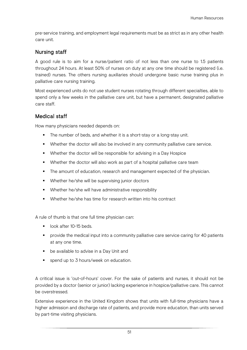pre-service training, and employment legal requirements must be as strict as in any other health care unit.

#### Nursing staff

A good rule is to aim for a nurse/patient ratio of not less than one nurse to 1.5 patients throughout 24 hours. At least 50% of nurses on duty at any one time should be registered (i.e. trained) nurses. The others nursing auxiliaries should undergone basic nurse training plus in palliative care nursing training.

Most experienced units do not use student nurses rotating through different specialties, able to spend only a few weeks in the palliative care unit, but have a permanent, designated palliative care staff.

#### Medical staff

How many physicians needed depends on:

- The number of beds, and whether it is a short-stay or a long-stay unit.
- Whether the doctor will also be involved in any community palliative care service.
- Whether the doctor will be responsible for advising in a Day Hospice
- Whether the doctor will also work as part of a hospital palliative care team
- The amount of education, research and management expected of the physician.
- **•** Whether he/she will be supervising junior doctors
- **Whether he/she will have administrative responsibility**
- Whether he/she has time for research written into his contract

A rule of thumb is that one full time physician can:

- look after 10-15 beds.
- provide the medical input into a community palliative care service caring for 40 patients at any one time.
- **•** be available to advise in a Day Unit and
- **spend up to 3 hours/week on education.**

A critical issue is 'out-of-hours' cover. For the sake of patients and nurses, it should not be provided by a doctor (senior or junior) lacking experience in hospice/palliative care. This cannot be overstressed.

Extensive experience in the United Kingdom shows that units with full-time physicians have a higher admission and discharge rate of patients, and provide more education, than units served by part-time visiting physicians.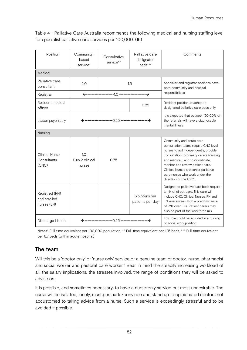Table 4 - Palliative Care Australia recommends the following medical and nursing staffing level for specialist palliative care services per 100,000. (16)

| Position                                      | Community-<br>based<br>service*  | Consultative<br>service** | Palliative care<br>designated<br>beds*** | Comments                                                                                                                                                                                                                                                                                                                        |  |
|-----------------------------------------------|----------------------------------|---------------------------|------------------------------------------|---------------------------------------------------------------------------------------------------------------------------------------------------------------------------------------------------------------------------------------------------------------------------------------------------------------------------------|--|
| Medical                                       |                                  |                           |                                          |                                                                                                                                                                                                                                                                                                                                 |  |
| Palliative care<br>consultant                 | 2.0                              | 1.5                       |                                          | Specialist and registrar positions have<br>both community and hospital<br>responsibilities                                                                                                                                                                                                                                      |  |
| Registrar                                     |                                  |                           |                                          |                                                                                                                                                                                                                                                                                                                                 |  |
| Resident medical<br>officer                   |                                  |                           | 0.25                                     | Resident position attached to<br>designated palliative care beds only                                                                                                                                                                                                                                                           |  |
| Liason psychiatry                             |                                  |                           |                                          | It is expected that between 30-50% of<br>the referrals will have a diagnosable<br>mental illness                                                                                                                                                                                                                                |  |
| Nursing                                       |                                  |                           |                                          |                                                                                                                                                                                                                                                                                                                                 |  |
| <b>Clinical Nurse</b><br>Consultants<br>(CNC) | 1.0<br>Plus 2 clinical<br>nurses | 0.75                      |                                          | Community and acute care<br>consultation teams require CNC level<br>nurses to act independently, provide<br>consultation to primary carers (nursing<br>and medical), and to coordinate,<br>monitor and review patient care.<br>Clinical Nurses are senior palliative<br>care nurses who work under the<br>direction of the CNC. |  |
| Registred (RN)<br>and errolled<br>nurses (EN) |                                  |                           | 6.5 hours per<br>patients per day        | Designated palliative care beds require<br>a mix of direct care. This care will<br>include CNC, Clinical Nurses, RN and<br>EN level nurses, with a predominance<br>of RNs over ENs. Patient carers may<br>also be part of the workforce mix                                                                                     |  |
| Discharge Liason                              |                                  |                           |                                          | This role could be included in a nursing<br>or social work position                                                                                                                                                                                                                                                             |  |

Notes\* Full-time equivalent per 100,000 population, \*\* Full-time equivalent per 125 beds, \*\*\* Full-time equivalent per 6.7 beds (within acute hospital)

## The team

Will this be a 'doctor only' or 'nurse only' service or a genuine team of doctor, nurse, pharmacist and social worker and pastoral care worker? Bear in mind the steadily increasing workload of all, the salary implications, the stresses involved, the range of conditions they will be asked to advise on.

It is possible, and sometimes necessary, to have a nurse-only service but most undesirable. The nurse will be isolated, lonely, must persuade/convince and stand up to opinionated doctors not accustomed to taking advice from a nurse. Such a service is exceedingly stressful and to be avoided if possible.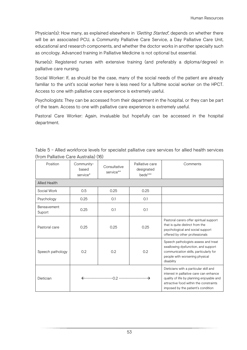Physician(s): How many, as explained elsewhere in 'Getting Started', depends on whether there will be an associated PCU, a Community Palliative Care Service, a Day Palliative Care Unit, educational and research components, and whether the doctor works in another specialty such as oncology. Advanced training in Palliative Medicine is not optional but essential.

Nurse(s): Registered nurses with extensive training (and preferably a diploma/degree) in palliative care nursing.

Social Worker: If, as should be the case, many of the social needs of the patient are already familiar to the unit's social worker here is less need for a fulltime social worker on the HPCT. Access to one with palliative care experience is extremely useful.

Psychologists: They can be accessed from their department in the hospital, or they can be part of the team. Access to one with palliative care experience is extremely useful.

Pastoral Care Worker: Again, invaluable but hopefully can be accessed in the hospital department.

| Position              | Community-<br>based<br>service* | Consultative<br>service** | Palliative care<br>designated<br>beds*** | Comments                                                                                                                                                                                                       |  |  |
|-----------------------|---------------------------------|---------------------------|------------------------------------------|----------------------------------------------------------------------------------------------------------------------------------------------------------------------------------------------------------------|--|--|
| <b>Allied Health</b>  |                                 |                           |                                          |                                                                                                                                                                                                                |  |  |
| Social Work           | 0.5                             | 0.25                      | 0.25                                     |                                                                                                                                                                                                                |  |  |
| Psychology            | 0.25                            | 0.1                       | 0.1                                      |                                                                                                                                                                                                                |  |  |
| Bereavement<br>Suport | 0.25                            | O.1                       | O.1                                      |                                                                                                                                                                                                                |  |  |
| Pastoral care         | 0.25                            | 0.25                      | 0.25                                     | Pastoral carers offer spiritual support<br>that is quite distinct from the<br>psychological and social support<br>offered by other professionals                                                               |  |  |
| Speech pathology      | 0.2                             | 0.2                       | 0.2                                      | Speech pathologists assess and treat<br>swallowing dysfunction, and support<br>communication skills, particularly for<br>people with worsening physical<br>disability                                          |  |  |
| Dietician             |                                 |                           |                                          | Dieticians with a particular skill and<br>interest in palliative care can enhance<br>quality of life by planning enjoyable and<br>attractive food within the constraints<br>imposed by the patient's condition |  |  |

Table 5 – Allied workforce levels for specialist palliative care services for allied health services (from Palliative Care Australia) (16)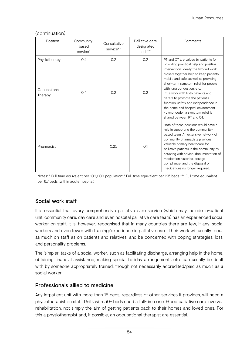| Position                | Community-<br>based<br>service* | Consultative<br>service** | Palliative care<br>designated<br>beds*** | Comments                                                                                                                                                                                                                                                                                                                                                                                                                                                                                             |
|-------------------------|---------------------------------|---------------------------|------------------------------------------|------------------------------------------------------------------------------------------------------------------------------------------------------------------------------------------------------------------------------------------------------------------------------------------------------------------------------------------------------------------------------------------------------------------------------------------------------------------------------------------------------|
| Physiotherapy           | 0.4                             | 0.2                       | 0.2                                      | PT and OT are valued by patients for<br>providing practical help and positive<br>intervention. Ideally the two will work<br>closely together help to keep patients<br>mobile and safe, as well as providing<br>short-term symptom relief for people<br>with lung congestion, etc.<br>OTs work with both patients and<br>carers to promote the patient's<br>function, safety and independence in<br>the home and hospital environment<br>· Lymphoedema symptom relief is<br>shared between PT and OT. |
| Occupational<br>Therapy | 0.4                             | 0.2                       | 0.2                                      |                                                                                                                                                                                                                                                                                                                                                                                                                                                                                                      |
| Pharmacist              |                                 | 0.25                      | O.1                                      | Both of these positions would have a<br>role in supporting the community-<br>based team. An extensive network of<br>community pharmacists provides<br>valuable primary healthcare for<br>palliative patients in the community by<br>assisting with advice, documentation of<br>medication histories, dosage<br>compliance, and the disposal of<br>medications no longer required.                                                                                                                    |

#### (continuation)

Notes: \* Full-time equivalent per 100,000 population\*\* Full-time equivalent per 125 beds \*\*\* Full-time equivalent per 6.7 beds (within acute hospital)

## Social work staff

It is essential that every comprehensive palliative care service (which may include in-patient unit, community care, day care and even hospital palliative care team) has an experienced social worker on staff. It is, however, recognised that in many countries there are few, if any, social workers and even fewer with training/experience in palliative care. Their work will usually focus as much on staff as on patients and relatives, and be concerned with coping strategies, loss, and personality problems.

The 'simpler' tasks of a social worker, such as facilitating discharge, arranging help in the home, obtaining financial assistance, making special holiday arrangements etc. can usually be dealt with by someone appropriately trained, though not necessarily accredited/paid as much as a social worker.

#### Professionals allied to medicine

Any in-patient unit with more than 15 beds, regardless of other services it provides, will need a physiotherapist on staff. Units with 30+ beds need a full-time one. Good palliative care involves rehabilitation, not simply the aim of getting patients back to their homes and loved ones. For this a physiotherapist and, if possible, an occupational therapist are essential.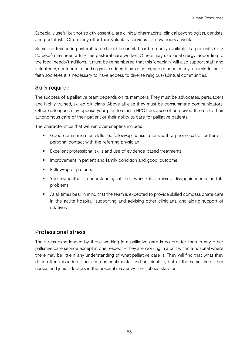Especially useful but not strictly essential are clinical pharmacists, clinical psychologists, dentists, and podiatrists. Often, they offer their voluntary services for new hours a week.

Someone trained in pastoral care should be on staff or be readily available. Larger units (of > 25 beds) may need a full-time pastoral care worker. Others may use local clergy, according to the local needs/traditions. It must be remembered that this 'chaplain' will also support staff and volunteers, contribute to and organize educational courses, and conduct many funerals. In multifaith societies it is necessary to have access to diverse religious/spiritual communities.

#### Skills required

The success of a palliative team depends on its members. They must be advocates, persuaders and highly trained, skilled clinicians. Above all else they must be consummate communicators. Other colleagues may oppose your plan to start a HPCT because of perceived threats to their autonomous care of their patient or their ability to care for palliative patients.

The characteristics that will win over sceptics include:

- Good communication skills i.e., follow-up consultations with a phone call or better still personal contact with the referring physician
- **Excellent professional skills and use of evidence-based treatments.**
- Improvement in patient and family condition and good 'outcome'
- Follow-up of patients
- Your sympathetic understanding of their work its stresses, disappointments, and its problems.
- At all times bear in mind that the team is expected to provide skilled compassionate care in the acute hospital, supporting and advising other clinicians, and aiding support of relatives.

# Professional stress

The stress experienced by those working in a palliative care is no greater than in any other palliative care service except in one respect – they are working in a unit within a hospital where there may be little if any understanding of what palliative care is. They will find that what they do is often misunderstood, seen as sentimental and unscientific, but at the same time other nurses and junior doctors in the hospital may envy their job satisfaction.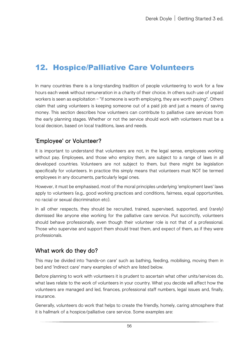# <span id="page-60-0"></span>12. Hospice/Palliative Care Volunteers

In many countries there is a long-standing tradition of people volunteering to work for a few hours each week without remuneration in a charity of their choice. In others such use of unpaid workers is seen as exploitation – "if someone is worth employing, they are worth paying". Others claim that using volunteers is keeping someone out of a paid job and just a means of saving money. This section describes how volunteers can contribute to palliative care services from the early planning stages. Whether or not the service should work with volunteers must be a local decision, based on local traditions, laws and needs.

## 'Employee' or Volunteer?

It is important to understand that volunteers are not, in the legal sense, employees working without pay. Employees, and those who employ them, are subject to a range of laws in all developed countries. Volunteers are not subject to them, but there might be legislation specifically for volunteers. In practice this simply means that volunteers must NOT be termed employees in any documents, particularly legal ones.

However, it must be emphasised, most of the moral principles underlying 'employment laws' laws apply to volunteers (e.g., good working practices and conditions, fairness, equal opportunities, no racial or sexual discrimination etc).

In all other respects, they should be recruited, trained, supervised, supported, and (rarely) dismissed like anyone else working for the palliative care service. Put succinctly, volunteers should behave professionally, even though their volunteer role is not that of a professional. Those who supervise and support them should treat them, and expect of them, as if they were professionals.

## What work do they do?

This may be divided into 'hands-on care' such as bathing, feeding, mobilising, moving them in bed and 'indirect care' many examples of which are listed below.

Before planning to work with volunteers it is prudent to ascertain what other units/services do, what laws relate to the work of volunteers in your country. What you decide will affect how the volunteers are managed and led, finances, professional staff numbers, legal issues and, finally, insurance.

Generally, volunteers do work that helps to create the friendly, homely, caring atmosphere that it is hallmark of a hospice/palliative care service. Some examples are: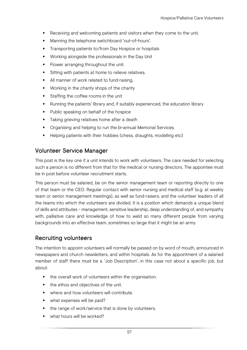- Receiving and welcoming patients and visitors when they come to the unit.
- Manning the telephone switchboard 'out-of-hours'.
- Transporting patients to/from Day Hospice or hospitals
- **Working alongside the professionals in the Day Unit**
- **Flower arranging throughout the unit.**
- **Sitting with patients at home to relieve relatives.**
- All manner of work related to fund-raising.
- **Working in the charity shops of the charity**
- Staffing the coffee rooms in the unit
- Running the patients' library and, if suitably experienced, the education library
- **Public speaking on behalf of the hospice**
- **Taking grieving relatives home after a death**
- **•** Organising and helping to run the bi-annual Memorial Services.
- Helping patients with their hobbies (chess, draughts, modelling etc)

#### Volunteer Service Manager

This post is the key one if a unit intends to work with volunteers. The care needed for selecting such a person is no different from that for the medical or nursing directors. The appointee must be in post before volunteer recruitment starts.

This person must be salaried, be on the senior management team or reporting directly to one of that team or the CEO. Regular contact with senior nursing and medical staff (e.g. at weekly team or senior management meetings), as well as fund-raisers, and the volunteer leaders of all the teams into which the volunteers are divided. It is a position which demands a unique blend of skills and attributes – management, sensitive leadership, deep understanding of, and sympathy with, palliative care and knowledge of how to weld so many different people from varying backgrounds into an effective team, sometimes so large that it might be an army.

## Recruiting volunteers

The intention to appoint volunteers will normally be passed on by word of mouth, announced in newspapers and church newsletters, and within hospitals. As for the appointment of a salaried member of staff there must be a 'Job Description', in this case not about a specific job, but about:

- the overall work of volunteers within the organisation.
- the ethos and objectives of the unit.
- **•** where and how volunteers will contribute.
- what expenses will be paid?
- the range of work/service that is done by volunteers.
- what hours will be worked?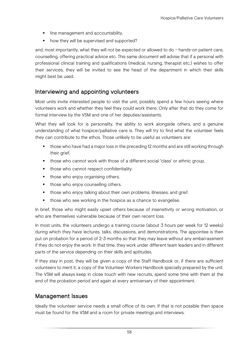- **If** line management and accountability.
- how they will be supervised and supported?

and, most importantly, what they will not be expected or allowed to do – hands-on patient care, counselling, offering practical advice etc. This same document will advise that if a personal with professional clinical training and qualifications (medical, nursing, therapist etc.) wishes to offer their services, they will be invited to see the head of the department in which their skills might best be used.

# Interviewing and appointing volunteers

Most units invite interested people to visit the unit, possibly spend a few hours seeing where volunteers work and whether they feel they could work there. Only after that do they come for formal interview by the VSM and one of her deputies/assistants.

What they will look for is personality, the ability to work alongside others, and a genuine understanding of what hospice/palliative care is. They will try to find what the volunteer feels they can contribute to the ethos. Those unlikely to be useful as volunteers are:

- **those who have had a major loss in the preceding 12 months and are still working through** their arief.
- those who cannot work with those of a different social 'class' or ethnic group.
- **those who cannot respect confidentiality.**
- those who enjoy organising others.
- those who enjoy counselling others.
- **those who enjoy talking about their own problems, illnesses, and grief.**
- **those who see working in the hospice as a chance to evangelise.**

In brief, those who might easily upset others because of insensitivity or wrong motivation, or who are themselves vulnerable because of their own recent loss.

In most units, the volunteers undergo a training course (about 3 hours per week for 12 weeks) during which they have lectures, talks, discussions, and demonstrations. The appointee is then put on probation for a period of 2-3 months so that they may leave without any embarrassment if they do not enjoy the work. In that time, they work under different team leaders and in different parts of the service depending on their skills and aptitudes.

If they stay in post, they will be given a copy of the Staff Handbook or, if there are sufficient volunteers to merit it, a copy of the Volunteer Workers Handbook specially prepared by the unit. The VSM will always keep in close touch with new recruits, spend some time with them at the end of the probation period and again at every anniversary of their appointment.

#### Management Issues

Ideally the volunteer service needs a small office of its own. If that is not possible then space must be found for the VSM and a room for private meetings and interviews.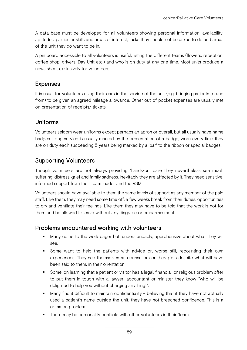A data base must be developed for all volunteers showing personal information, availability, aptitudes, particular skills and areas of interest, tasks they should not be asked to do and areas of the unit they do want to be in.

A pin board accessible to all volunteers is useful, listing the different teams (flowers, reception, coffee shop, drivers, Day Unit etc.) and who is on duty at any one time. Most units produce a news sheet exclusively for volunteers.

# Expenses

It is usual for volunteers using their cars in the service of the unit (e.g. bringing patients to and from) to be given an agreed mileage allowance. Other out-of-pocket expenses are usually met on presentation of receipts/ tickets.

# Uniforms

Volunteers seldom wear uniforms except perhaps an apron or overall, but all usually have name badges. Long service is usually marked by the presentation of a badge, worn every time they are on duty each succeeding 5 years being marked by a 'bar' to the ribbon or special badges.

# Supporting Volunteers

Though volunteers are not always providing 'hands-on' care they nevertheless see much suffering, distress, grief and family sadness. Inevitably they are affected by it. They need sensitive, informed support from their team leader and the VSM.

Volunteers should have available to them the same levels of support as any member of the paid staff. Like them, they may need some time off, a few weeks break from their duties, opportunities to cry and ventilate their feelings. Like them they may have to be told that the work is not for them and be allowed to leave without any disgrace or embarrassment.

# Problems encountered working with volunteers

- Many come to the work eager but, understandably, apprehensive about what they will see.
- Some want to help the patients with advice or, worse still, recounting their own experiences. They see themselves as counsellors or therapists despite what will have been said to them, in their orientation.
- **Some, on learning that a patient or visitor has a legal, financial, or religious problem offer** to put them in touch with a lawyer, accountant or minister they know "who will be delighted to help you without charging anything!".
- Many find it difficult to maintain confidentiality believing that if they have not actually used a patient's name outside the unit, they have not breeched confidence. This is a common problem.
- There may be personality conflicts with other volunteers in their 'team'.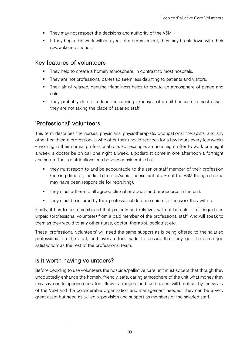- They may not respect the decisions and authority of the VSM.
- If they begin this work within a year of a bereavement, they may break down with their re-awakened sadness.

# Key features of volunteers

- They help to create a homely atmosphere, in contrast to most hospitals.
- They are not professional carers so seem less daunting to patients and visitors.
- Their air of relaxed, genuine friendliness helps to create an atmosphere of peace and calm.
- They probably do not reduce the running expenses of a unit because, in most cases, they are not taking the place of salaried staff.

# 'Professional' volunteers

This term describes the nurses, physicians, physiotherapists, occupational therapists, and any other health care professionals who offer their unpaid services for a few hours every few weeks – working in their normal professional role. For example, a nurse might offer to work one night a week, a doctor be on call one night a week, a podiatrist come in one afternoon a fortnight and so on. Their contributions can be very considerable but

- they must report to and be accountable to the senior staff member of their profession (nursing director, medical director/senior consultant etc. – not the VSM though she/he may have been responsible for recruiting).
- they must adhere to all agreed clinical protocols and procedures in the unit.
- they must be insured by their professional defence union for the work they will do.

Finally, it has to be remembered that patients and relatives will not be able to distinguish an unpaid (professional volunteer) from a paid member of the professional staff. And will speak to them as they would to any other nurse, doctor, therapist, podiatrist etc.

These 'professional volunteers' will need the same support as is being offered to the salaried professional on the staff, and every effort made to ensure that they get the same 'job satisfaction' as the rest of the professional team.

# Is it worth having volunteers?

Before deciding to use volunteers the hospice/palliative care unit must accept that though they undoubtedly enhance the homely, friendly, safe, caring atmosphere of the unit what money they may save on telephone operators, flower arrangers and fund raisers will be offset by the salary of the VSM and the considerable organisation and management needed. They can be a very great asset but need as skilled supervision and support as members of the salaried staff.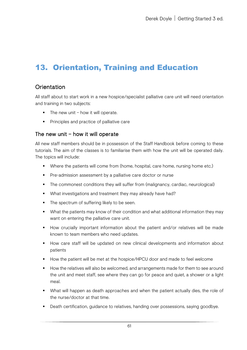# <span id="page-65-0"></span>13. Orientation, Training and Education

# **Orientation**

All staff about to start work in a new hospice/specialist palliative care unit will need orientation and training in two subjects:

- $\blacksquare$  The new unit how it will operate.
- **Principles and practice of palliative care**

#### The new unit – how it will operate

All new staff members should be in possession of the Staff Handbook before coming to these tutorials. The aim of the classes is to familiarise them with how the unit will be operated daily. The topics will include:

- Where the patients will come from (home, hospital, care home, nursing home etc.)
- **Pre-admission assessment by a palliative care doctor or nurse**
- The commonest conditions they will suffer from (malignancy, cardiac, neurological)
- What investigations and treatment they may already have had?
- The spectrum of suffering likely to be seen.
- What the patients may know of their condition and what additional information they may want on entering the palliative care unit.
- How crucially important information about the patient and/or relatives will be made known to team members who need updates.
- How care staff will be updated on new clinical developments and information about patients
- How the patient will be met at the hospice/HPCU door and made to feel welcome
- How the relatives will also be welcomed, and arrangements made for them to see around the unit and meet staff, see where they can go for peace and quiet, a shower or a light meal.
- What will happen as death approaches and when the patient actually dies, the role of the nurse/doctor at that time.
- Death certification, guidance to relatives, handing over possessions, saying goodbye.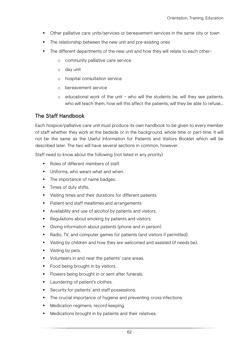- Other palliative care units/services or bereavement services in the same city or town
- The relationship between the new unit and pre-existing ones
- The different departments of the new unit and how they will relate to each other
	- o community palliative care service
	- o day unit
	- o hospital consultation service
	- o bereavement service
	- $\circ$  educational work of the unit who will the students be, will they see patients, who will teach them, how will this affect the patients, will they be able to refuse…

#### The Staff Handbook

Each hospice/palliative care unit must produce its own handbook to be given to every member of staff whether they work at the bedside or in the background, whole time or part-time. It will not be the same as the Useful Information for Patients and Visitors Booklet which will be described later. The two will have several sections in common, however.

Staff need to know about the following (not listed in any priority)

- Roles of different members of staff
- Uniforms, who wears what and when.
- The importance of name badges.
- **Times of duty shifts.**
- Visiting times and their durations for different patients.
- **Patient and staff mealtimes and arrangements**
- Availability and use of alcohol by patients and visitors.
- Regulations about smoking by patients and visitors.
- Giving information about patients (phone and in person)
- Radio, TV, and computer games for patients (and visitors if permitted).
- Visiting by children and how they are welcomed and assisted (if needs be).
- Visiting by pets.
- **Volunteers in and near the patients' care areas.**
- Food being brought in by visitors.
- **Fi** Flowers being brought in or sent after funerals.
- **Laundering of patient's clothes.**
- **Security for patients' and staff possessions.**
- The crucial importance of hygiene and preventing cross infections.
- Medication regimens, record keeping.
- Medications brought in by patients and their relatives.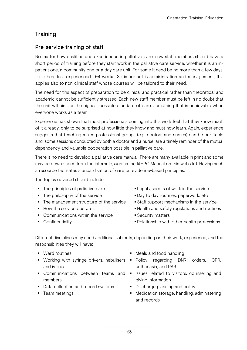# **Training**

#### Pre-service training of staff

No matter how qualified and experienced in palliative care, new staff members should have a short period of training before they start work in the palliative care service, whether it is an inpatient one, a community one or a day care unit. For some it need be no more than a few days, for others less experienced, 3-4 weeks. So important is administration and management, this applies also to non-clinical staff whose courses will be tailored to their need.

The need for this aspect of preparation to be clinical and practical rather than theoretical and academic cannot be sufficiently stressed. Each new staff member must be left in no doubt that the unit will aim for the highest possible standard of care, something that is achievable when everyone works as a team.

Experience has shown that most professionals coming into this work feel that they know much of it already, only to be surprised at how little they know and must now learn. Again, experience suggests that teaching mixed professional groups (e.g. doctors and nurses) can be profitable and, some sessions conducted by both a doctor and a nurse, are a timely reminder of the mutual dependency and valuable cooperation possible in palliative care.

There is no need to develop a palliative care manual. There are many available in print and some may be downloaded from the internet (such as the IAHPC Manual on this website). Having such a resource facilitates standardisation of care on evidence-based principles.

The topics covered should include:

- 
- 
- The management structure of the service Staff support mechanisms in the service
- 
- Communications within the service Security matters
- 
- The principles of palliative care Legal aspects of work in the service
- The philosophy of the service **Day to day routines, paperwork, etc** 
	-
- How the service operates Health and safety regulations and routines
	-
- Confidentiality Relationship with other health professions

Different disciplines may need additional subjects, depending on their work, experience, and the responsibilities they will have:

- 
- and iv lines
- members
- Data collection and record systems Discharge planning and policy
- 
- Ward routines **Meals** and food handling
- **Working with syringe drivers, nebulisers Policy regarding DNR orders, CPR,** euthanasia, and PAS
- **Communications** between teams and **F** Issues related to visitors, counselling and giving information
	-
- Team meetings **Medication storage, handling, administering** and records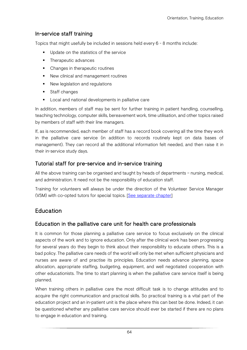#### In-service staff training

Topics that might usefully be included in sessions held every 6 - 8 months include:

- **Update on the statistics of the service**
- Therapeutic advances
- Changes in therapeutic routines
- New clinical and management routines
- New legislation and regulations
- **Staff changes**
- **Local and national developments in palliative care**

In addition, members of staff may be sent for further training in patient handling, counselling, teaching technology, computer skills, bereavement work, time utilisation, and other topics raised by members of staff with their line managers.

If, as is recommended, each member of staff has a record book covering all the time they work in the palliative care service (in addition to records routinely kept on data bases of management). They can record all the additional information felt needed, and then raise it in their in-service study days.

#### Tutorial staff for pre-service and in-service training

All the above training can be organised and taught by heads of departments – nursing, medical, and administration. It need not be the responsibility of education staff.

Training for volunteers will always be under the direction of the Volunteer Service Manager (VSM) with co-opted tutors for special topics. [\[See separate chapter\]](#page-60-0)

## **Education**

#### Education in the palliative care unit for health care professionals

It is common for those planning a palliative care service to focus exclusively on the clinical aspects of the work and to ignore education. Only after the clinical work has been progressing for several years do they begin to think about their responsibility to educate others. This is a bad policy. The palliative care needs of the world will only be met when sufficient physicians and nurses are aware of and practise its principles. Education needs advance planning, space allocation, appropriate staffing, budgeting, equipment, and well negotiated cooperation with other educationists. The time to start planning is when the palliative care service itself is being planned.

When training others in palliative care the most difficult task is to change attitudes and to acquire the right communication and practical skills. So practical training is a vital part of the education project and an in-patient unit is the place where this can best be done. Indeed, it can be questioned whether any palliative care service should ever be started if there are no plans to engage in education and training.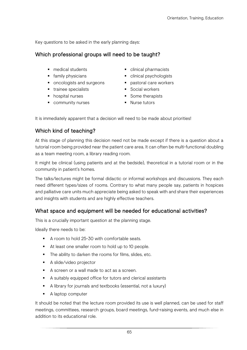Key questions to be asked in the early planning days:

#### Which professional groups will need to be taught?

- 
- 
- oncologists and surgeons pastoral care workers
- trainee specialists Social workers
- 
- community nurses Nurse tutors
- medical students <br>■ clinical pharmacists
- family physicians clinical psychologists
	-
	-
- hospital nurses **Some therapists** 
	-

It is immediately apparent that a decision will need to be made about priorities!

#### Which kind of teaching?

At this stage of planning this decision need not be made except if there is a question about a tutorial room being provided near the patient care area. It can often be multi-functional doubling as a team meeting room, a library reading room.

It might be clinical (using patients and at the bedside), theoretical in a tutorial room or in the community in patient's homes.

The talks/lectures might be formal didactic or informal workshops and discussions. They each need different types/sizes of rooms. Contrary to what many people say, patients in hospices and palliative care units much appreciate being asked to speak with and share their experiences and insights with students and are highly effective teachers.

#### What space and equipment will be needed for educational activities?

This is a crucially important question at the planning stage.

Ideally there needs to be:

- A room to hold 25-30 with comfortable seats.
- At least one smaller room to hold up to 10 people.
- The ability to darken the rooms for films, slides, etc.
- **A** slide/video projector
- A screen or a wall made to act as a screen.
- A suitably equipped office for tutors and clerical assistants
- A library for journals and textbooks (essential, not a luxury)
- A laptop computer

It should be noted that the lecture room provided its use is well planned, can be used for staff meetings, committees, research groups, board meetings, fund-raising events, and much else in addition to its educational role.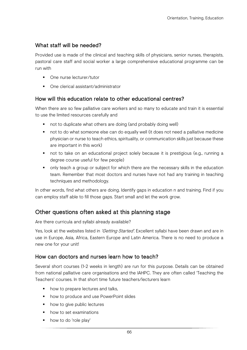## What staff will be needed?

Provided use is made of the clinical and teaching skills of physicians, senior nurses, therapists, pastoral care staff and social worker a large comprehensive educational programme can be run with

- **One nurse lecturer/tutor**
- One clerical assistant/administrator

#### How will this education relate to other educational centres?

When there are so few palliative care workers and so many to educate and train it is essential to use the limited resources carefully and

- not to duplicate what others are doing (and probably doing well)
- not to do what someone else can do equally well (it does not need a palliative medicine physician or nurse to teach ethics, spirituality, or communication skills just because these are important in this work)
- not to take on an educational project solely because it is prestigious (e.g., running a degree course useful for few people)
- only teach a group or subject for which there are the necessary skills in the education team. Remember that most doctors and nurses have not had any training in teaching techniques and methodology.

In other words, find what others are doing. Identify gaps in education n and training. Find if you can employ staff able to fill those gaps. Start small and let the work grow.

# Other questions often asked at this planning stage

Are there curricula and syllabi already available?

Yes, look at the websites listed in *'Getting Started'*. Excellent syllabi have been drawn and are in use in Europe, Asia, Africa, Eastern Europe and Latin America. There is no need to produce a new one for your unit!

#### How can doctors and nurses learn how to teach?

Several short courses (1-2 weeks in length) are run for this purpose. Details can be obtained from national palliative care organisations and the IAHPC. They are often called 'Teaching the Teachers' courses. In that short time future teachers/lecturers learn

- how to prepare lectures and talks,
- **•** how to produce and use PowerPoint slides
- how to give public lectures
- how to set examinations
- how to do 'role play'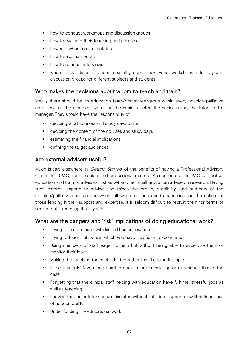- how to conduct workshops and discussion groups
- how to evaluate their teaching and courses
- **•** how and when to use acetates
- how to use 'hand-outs'
- **•** how to conduct interviews
- when to use didactic teaching, small groups, one-to-one, workshops, role play and discussion groups for different subjects and students.

#### Who makes the decisions about whom to teach and train?

Ideally there should be an education team/committee/group within every hospice/palliative care service. The members would be the senior doctor, the senior nurse, the tutor, and a manager. They should have the responsibility of

- deciding what courses and study days to run
- **deciding the content of the courses and study days**
- **EXECUTE:** estimating the financial implications
- **defining the target audiences**

#### Are external advisers useful?

Much is said elsewhere in 'Getting Started' of the benefits of having a Professional Advisory Committee (PAC) for all clinical and professional matters. A subgroup of the PAC can act as education and training advisors, just as yet another small group can advise on research. Having such external experts to advise also raises the profile, credibility, and authority of the hospice/palliative care service when fellow professionals and academics see the calibre of those lending it their support and expertise. It is seldom difficult to recruit them for terms of service not exceeding three years.

#### What are the dangers and 'risk' implications of doing educational work?

- **Trying to do too much with limited human resources.**
- **Trying to teach subjects in which you have insufficient experience.**
- Using members of staff eager to help but without being able to supervise them or monitor their input.
- **Making the teaching too sophisticated rather than keeping it simple**
- If the 'students' (even long qualified) have more knowledge or experience than is the case
- Forgetting that the clinical staff helping with education have fulltime, stressful jobs as well as teaching.
- Leaving the senior tutor/lecturer isolated without sufficient support or well-defined lines of accountability.
- **Under funding the educational work**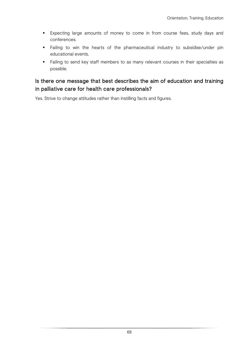- Expecting large amounts of money to come in from course fees, study days and conferences.
- Failing to win the hearts of the pharmaceutical industry to subsidise/under pin educational events.
- **Failing to send key staff members to as many relevant courses in their specialties as** possible.

# Is there one message that best describes the aim of education and training in palliative care for health care professionals?

Yes. Strive to change attitudes rather than instilling facts and figures.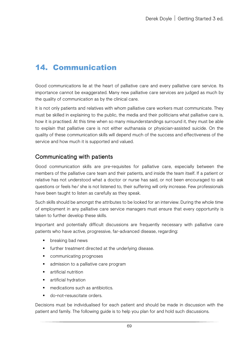# 14. Communication

Good communications lie at the heart of palliative care and every palliative care service. Its importance cannot be exaggerated. Many new palliative care services are judged as much by the quality of communication as by the clinical care.

It is not only patients and relatives with whom palliative care workers must communicate. They must be skilled in explaining to the public, the media and their politicians what palliative care is, how it is practised. At this time when so many misunderstandings surround it, they must be able to explain that palliative care is not either euthanasia or physician-assisted suicide. On the quality of these communication skills will depend much of the success and effectiveness of the service and how much it is supported and valued.

# Communicating with patients

Good communication skills are pre-requisites for palliative care, especially between the members of the palliative care team and their patients, and inside the team itself. If a patient or relative has not understood what a doctor or nurse has said, or not been encouraged to ask questions or feels he/ she is not listened to, their suffering will only increase. Few professionals have been taught to listen as carefully as they speak.

Such skills should be amongst the attributes to be looked for an interview. During the whole time of employment in any palliative care service managers must ensure that every opportunity is taken to further develop these skills.

Important and potentially difficult discussions are frequently necessary with palliative care patients who have active, progressive, far-advanced disease, regarding:

- **•** breaking bad news
- **Fig. 1** further treatment directed at the underlying disease.
- **•** communicating prognoses
- **•** admission to a palliative care program
- **F** artificial nutrition
- **artificial hydration**
- medications such as antibiotics.
- do-not-resuscitate orders.

Decisions must be individualised for each patient and should be made in discussion with the patient and family. The following guide is to help you plan for and hold such discussions.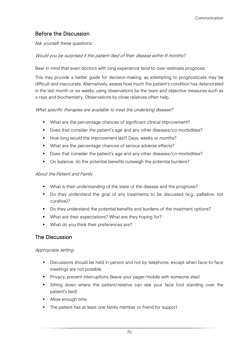# Before the Discussion

Ask yourself these questions:

#### Would you be surprised if this patient died of their disease within 6 months?

Bear in mind that even doctors with long experience tend to over-estimate prognosis.

This may provide a better guide for decision-making, as attempting to prognosticate may be difficult and inaccurate. Alternatively, assess how much the patient's condition has deteriorated in the last month or six weeks, using observations by the team and objective measures such as x-rays and biochemistry. Observations by close relatives often help.

#### What specific therapies are available to treat the underlying disease?

- What are the percentage chances of significant clinical improvement?
- Does that consider the patient's age and any other diseases/co-morbidities?
- How long would the improvement last? Days, weeks or months?
- What are the percentage chances of serious adverse effects?
- Does that consider the patient's age and any other diseases/co-morbidities?
- On balance, do the potential benefits outweigh the potential burdens?

#### About the Patient and Family

- **•** What is their understanding of the state of the disease and the prognosis?
- Do they understand the goal of any treatments to be discussed (e.g., palliative, not curative)?
- Do they understand the potential benefits and burdens of the treatment options?
- What are their expectations? What are they hoping for?
- **What do you think their preferences are?**

### The Discussion

#### Appropriate setting

- Discussions should be held in person and not by telephone, except when face-to-face meetings are not possible.
- Privacy, prevent interruptions (leave your pager/mobile with someone else)
- Sitting down where the patient/relative can see your face (not standing over the patient's bed)
- Allow enough time.
- The patient has at least one family member or friend for support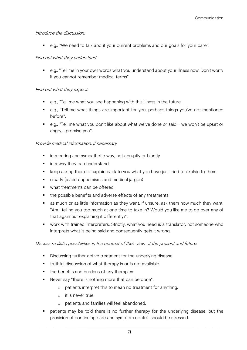#### Introduce the discussion:

e.g., "We need to talk about your current problems and our goals for your care".

#### Find out what they understand:

 e.g., "Tell me in your own words what you understand about your illness now. Don't worry if you cannot remember medical terms".

#### Find out what they expect:

- e.g., "Tell me what you see happening with this illness in the future".
- e.g., "Tell me what things are important for you, perhaps things you've not mentioned before".
- e.g., "Tell me what you don't like about what we've done or said we won't be upset or angry, I promise you".

#### Provide medical information, if necessary

- in a caring and sympathetic way, not abruptly or bluntly
- in a way they can understand
- **EXT** keep asking them to explain back to you what you have just tried to explain to them.
- **E** clearly (avoid euphemisms and medical jargon)
- what treatments can be offered.
- the possible benefits and adverse effects of any treatments
- as much or as little information as they want. If unsure, ask them how much they want. "Am I telling you too much at one time to take in? Would you like me to go over any of that again but explaining it differently?".
- work with trained interpreters. Strictly, what you need is a translator, not someone who interprets what is being said and consequently gets it wrong.

#### Discuss realistic possibilities in the context of their view of the present and future:

- **Discussing further active treatment for the underlying disease**
- **truthful discussion of what therapy is or is not available.**
- the benefits and burdens of any therapies
- Never say "there is nothing more that can be done".
	- o patients interpret this to mean no treatment for anything.
	- o it is never true.
	- o patients and families will feel abandoned.
- patients may be told there is no further therapy for the underlying disease, but the provision of continuing care and symptom control should be stressed.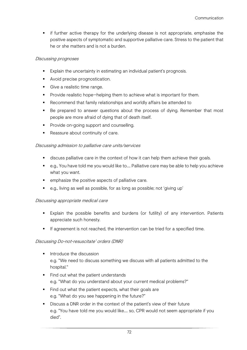**if further active therapy for the underlying disease is not appropriate, emphasise the** positive aspects of symptomatic and supportive palliative care. Stress to the patient that he or she matters and is not a burden.

#### Discussing prognoses

- **Explain the uncertainty in estimating an individual patient's prognosis.**
- **Avoid precise prognostication.**
- Give a realistic time range.
- **Provide realistic hope—helping them to achieve what is important for them.**
- Recommend that family relationships and worldly affairs be attended to
- Be prepared to answer questions about the process of dying. Remember that most people are more afraid of dying that of death itself.
- **Provide on-going support and counselling.**
- Reassure about continuity of care.

#### Discussing admission to palliative care units/services

- discuss palliative care in the context of how it can help them achieve their goals.
- e.g., You have told me you would like to.... Palliative care may be able to help you achieve what you want.
- **EXECUTE:** emphasize the positive aspects of palliative care.
- e.g., living as well as possible, for as long as possible; not 'giving up'

#### Discussing appropriate medical care

- Explain the possible benefits and burdens (or futility) of any intervention. Patients appreciate such honesty.
- **If agreement is not reached, the intervention can be tried for a specified time.**

#### Discussing Do-not-resuscitate' orders (DNR)

- $\blacksquare$  Introduce the discussion e.g. "We need to discuss something we discuss with all patients admitted to the hospital."
- Find out what the patient understands e.g. "What do you understand about your current medical problems?"
- Find out what the patient expects, what their goals are e.g. "What do you see happening in the future?"
- Discuss a DNR order in the context of the patient's view of their future e.g. "You have told me you would like…. so, CPR would not seem appropriate if you died".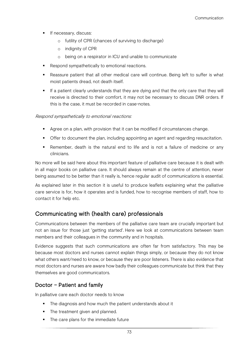- **If necessary, discuss:** 
	- o futility of CPR (chances of surviving to discharge)
	- o indignity of CPR
	- o being on a respirator in ICU and unable to communicate
- **Respond sympathetically to emotional reactions.**
- Reassure patient that all other medical care will continue. Being left to suffer is what moist patients dread, not death itself.
- If a patient clearly understands that they are dying and that the only care that they will receive is directed to their comfort, it may not be necessary to discuss DNR orders. If this is the case, it must be recorded in case-notes.

#### Respond sympathetically to emotional reactions:

- **Agree on a plan, with provision that it can be modified if circumstances change.**
- **The Strange of the Strange including appointing an agent and regarding resuscitation.**
- Remember, death is the natural end to life and is not a failure of medicine or any clinicians.

No more will be said here about this important feature of palliative care because it is dealt with in all major books on palliative care. It should always remain at the centre of attention, never being assumed to be better than it really is, hence regular audit of communications is essential.

As explained later in this section it is useful to produce leaflets explaining what the palliative care service is for, how it operates and is funded, how to recognise members of staff, how to contact it for help etc.

## Communicating with (health care) professionals

Communications between the members of the palliative care team are crucially important but not an issue for those just 'getting started'. Here we look at communications between team members and their colleagues in the community and in hospitals.

Evidence suggests that such communications are often far from satisfactory. This may be because most doctors and nurses cannot explain things simply, or because they do not know what others want/need to know, or because they are poor listeners. There is also evidence that most doctors and nurses are aware how badly their colleagues communicate but think that they themselves are good communicators.

#### Doctor – Patient and family

In palliative care each doctor needs to know

- The diagnosis and how much the patient understands about it
- The treatment given and planned.
- The care plans for the immediate future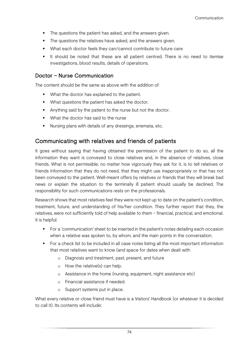- The questions the patient has asked, and the answers given.
- The questions the relatives have asked, and the answers given.
- What each doctor feels they can/cannot contribute to future care
- It should be noted that these are all patient centred. There is no need to itemise investigations, blood results, details of operations.

#### Doctor – Nurse Communication

The content should be the same as above with the addition of

- What the doctor has explained to the patient.
- **What questions the patient has asked the doctor.**
- Anything said by the patient to the nurse but not the doctor.
- **What the doctor has said to the nurse**
- Nursing plans with details of any dressings, enemata, etc.

## Communicating with relatives and friends of patients

It goes without saying that having obtained the permission of the patient to do so, all the information they want is conveyed to close relatives and, in the absence of relatives, close friends. What is not permissible, no matter how vigorously they ask for it, is to tell relatives or friends information that they do not need, that they might use inappropriately or that has not been conveyed to the patient. Well-meant offers by relatives or friends that they will break bad news or explain the situation to the terminally ill patient should usually be declined. The responsibility for such communications rests on the professionals.

Research shows that most relatives feel they were not kept up to date on the patient's condition, treatment, future, and understanding of his/her condition. They further report that they, the relatives, were not sufficiently told of help available to them – financial, practical, and emotional. It is helpful:

- For a 'communication' sheet to be inserted in the patient's notes detailing each occasion when a relative was spoken to, by whom, and the main points in the conversation.
- For a check list to be included in all case notes listing all the most important information that most relatives want to know (and space for dates when dealt with
	- o Diagnosis and treatment, past, present, and future
	- o How the relative(s) can help.
	- o Assistance in the home (nursing, equipment, night assistance etc)
	- o Financial assistance if needed.
	- o Support systems put in place.

What every relative or close friend must have is a Visitors' Handbook (or whatever it is decided to call it). Its contents will include: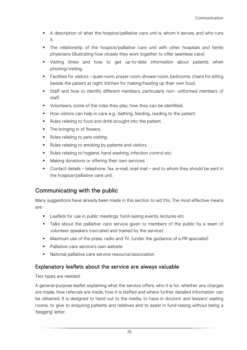- A description of what the hospice/palliative care unit is, whom it serves, and who runs it.
- The relationship of the hospice/palliative care unit with other hospitals and family physicians (illustrating how closely they work together to offer seamless care)
- Visiting times and how to get up-to-date information about patients when phoning/visiting.
- Facilities for visitors quiet room, prayer room, shower room, bedrooms, chairs for sitting beside the patient at night, kitchen for making/heating up their own food.
- Staff and how to identify different members, particularly non- uniformed members of staff.
- Uolunteers, some of the roles they play, how they can be identified.
- How visitors can help in care e.g., bathing, feeding, reading to the patient
- Rules relating to food and drink brought into the patient.
- The bringing in of flowers.
- Rules relating to pets visiting.
- Rules relating to smoking by patients and visitors.
- Rules relating to hygiene, hand washing, infection control etc.
- **Making donations or offering their own services**
- Contact details telephone, fax, e-mail, snail mail and to whom they should be sent in the hospice/palliative care unit.

# Communicating with the public

Many suggestions have already been made in this section to aid this. The most effective means are:

- **EXECT** Leaflets for use in public meetings, fund-raising events, lectures etc
- Talks about the palliative care service given to members of the public by a team of volunteer speakers (recruited and trained by the service)
- Maximum use of the press, radio and TV. (under the guidance of a PR specialist)
- Palliative care service's own website
- National palliative care service resource/association

# Explanatory leaflets about the service are always valuable

Two types are needed:

A general-purpose leaflet explaining what the service offers, who it is for, whether any charges are made, how referrals are made, how it is staffed and where further detailed information can be obtained. It is designed to hand out to the media, to have in doctors' and lawyers' waiting rooms, to give to enquiring patients and relatives and to assist in fund-raising without being a 'begging' letter.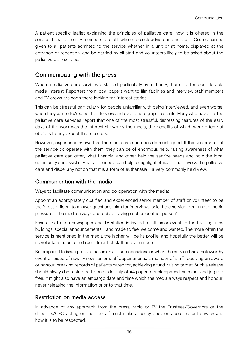A patient-specific leaflet explaining the principles of palliative care, how it is offered in the service, how to identify members of staff, where to seek advice and help etc. Copies can be given to all patients admitted to the service whether in a unit or at home, displayed at the entrance or reception, and be carried by all staff and volunteers likely to be asked about the palliative care service.

# Communicating with the press

When a palliative care services is started, particularly by a charity, there is often considerable media interest. Reporters from local papers want to film facilities and interview staff members and TV crews are soon there looking for 'interest stories'.

This can be stressful particularly for people unfamiliar with being interviewed, and even worse, when they ask to to/expect to interview and even photograph patients. Many who have started palliative care services report that one of the most stressful, distressing features of the early days of the work was the interest shown by the media, the benefits of which were often not obvious to any except the reporters.

However, experience shows that the media can and does do much good. If the senior staff of the service co-operate with them, they can be of enormous help, raising awareness of what palliative care can offer, what financial and other help the service needs and how the local community can assist it. Finally, the media can help to highlight ethical issues involved in palliative care and dispel any notion that it is a form of euthanasia – a very commonly held view.

## Communication with the media

Ways to facilitate communication and co-operation with the media:

Appoint an appropriately qualified and experienced senior member of staff or volunteer to be the 'press officer', to answer questions, plan for interviews, shield the service from undue media pressures. The media always appreciate having such a 'contact person'.

Ensure that each newspaper and TV station is invited to all major events – fund raising, new buildings, special announcements – and made to feel welcome and wanted. The more often the service is mentioned in the media the higher will be its profile, and hopefully the better will be its voluntary income and recruitment of staff and volunteers.

Be prepared to issue press releases on all such occasions or when the service has a noteworthy event or piece of news - new senior staff appointments, a member of staff receiving an award or honour, breaking records of patients cared for, achieving a fund-raising target. Such a release should always be restricted to one side only of A4 paper, double-spaced, succinct and jargonfree. It might also have an embargo date and time which the media always respect and honour, never releasing the information prior to that time.

## Restriction on media access

In advance of any approach from the press, radio or TV the Trustees/Governors or the directors/CEO acting on their behalf must make a policy decision about patient privacy and how it is to be respected.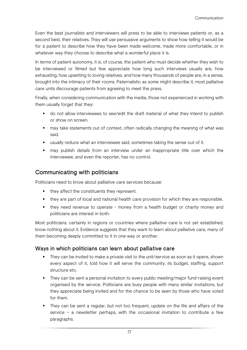Even the best journalists and interviewers will press to be able to interviews patients or, as a second best, their relatives. They will use persuasive arguments to show how telling it would be for a patient to describe how they have been made welcome, made more comfortable, or in whatever way they choose to describe what a wonderful place it is.

In terms of patient autonomy, it is, of course, the patient who must decide whether they wish to be interviewed or filmed but few appreciate how long such interviews usually are, how exhausting, how upsetting to loving relatives, and how many thousands of people are, in a sense, brought into the intimacy of their rooms. Paternalistic as some might describe it, most palliative care units discourage patients from agreeing to meet the press.

Finally, when considering communication with the media, those not experienced in working with them usually forget that they:

- do not allow interviewees to see/edit the draft material of what they intend to publish or show on screen.
- may take statements out of context, often radically changing the meaning of what was said.
- usually reduce what an interviewee said, sometimes taking the sense out of it.
- may publish details from an interview under an inappropriate title over which the interviewee, and even the reporter, has no control.

## Communicating with politicians

Politicians need to know about palliative care services because:

- they affect the constituents they represent.
- they are part of local and national health care provision for which they are responsible.
- they need revenue to operate money from a health budget or charity money and politicians are interest in both.

Most politicians, certainly in regions or countries where palliative care is not yet established, know nothing about it. Evidence suggests that they want to learn about palliative care, many of them becoming deeply committed to it in one way or another.

## Ways in which politicians can learn about palliative care

- They can be invited to make a private visit to the unit/service as soon as it opens, shown every aspect of it, told how it will serve the community, its budget, staffing, support structure etc.
- They can be sent a personal invitation to every public meeting/major fund-raising event organised by the service. Politicians are busy people with many similar invitations, but they appreciate being invited and for the chance to be seen by those who have voted for them.
- They can be sent a regular, but not too frequent, update on the life and affairs of the service – a newsletter perhaps, with the occasional invitation to contribute a few paragraphs.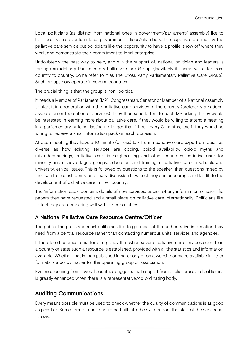Local politicians (as distinct from national ones in government/parliament/ assembly) like to host occasional events in local government offices/chambers. The expenses are met by the palliative care service but politicians like the opportunity to have a profile, show off where they work, and demonstrate their commitment to local enterprise.

Undoubtedly the best way to help, and win the support of, national politician and leaders is through an All-Party Parliamentary Palliative Care Group. (Inevitably its name will differ from country to country. Some refer to it as The Cross Party Parliamentary Palliative Care Group). Such groups now operate in several countries.

The crucial thing is that the group is non- political.

It needs a Member of Parliament (MP), Congressman, Senator or Member of a National Assembly to start it in cooperation with the palliative care services of the country (preferably a national association or federation of services). They then send letters to each MP asking if they would be interested in learning more about palliative care, if they would be willing to attend a meeting in a parliamentary building, lasting no longer than 1 hour every 3 months, and if they would be willing to receive a small information pack on each occasion.

At each meeting they have a 10 minute (or less) talk from a palliative care expert on topics as diverse as how existing services are coping, opioid availability, opioid myths and misunderstandings, palliative care in neighbouring and other countries, palliative care for minority and disadvantaged groups, education, and training in palliative care in schools and university, ethical issues. This is followed by questions to the speaker, then questions raised by their work or constituents, and finally discussion how best they can encourage and facilitate the development of palliative care in their country.

The 'information pack' contains details of new services, copies of any information or scientific papers they have requested and a small piece on palliative care internationally. Politicians like to feel they are comparing well with other countries.

# A National Palliative Care Resource Centre/Officer

The public, the press and most politicians like to get most of the authoritative information they need from a central resource rather than contacting numerous units, services and agencies.

It therefore becomes a matter of urgency that when several palliative care services operate in a country or state such a resource is established, provided with all the statistics and information available. Whether that is then published in hardcopy or on a website or made available in other formats is a policy matter for the operating group or association.

Evidence coming from several countries suggests that support from public, press and politicians is greatly enhanced when there is a representative/co-ordinating body.

# Auditing Communications

Every means possible must be used to check whether the quality of communications is as good as possible. Some form of audit should be built into the system from the start of the service as follows: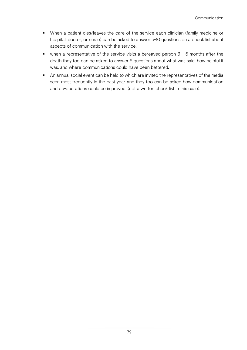- When a patient dies/leaves the care of the service each clinician (family medicine or hospital, doctor, or nurse) can be asked to answer 5-10 questions on a check list about aspects of communication with the service.
- $\blacksquare$  when a representative of the service visits a bereaved person  $3 6$  months after the death they too can be asked to answer 5 questions about what was said, how helpful it was, and where communications could have been bettered.
- An annual social event can be held to which are invited the representatives of the media seen most frequently in the past year and they too can be asked how communication and co-operations could be improved. (not a written check list in this case).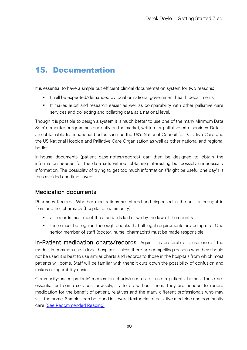# 15. Documentation

It is essential to have a simple but efficient clinical documentation system for two reasons:

- It will be expected/demanded by local or national government health departments.
- It makes audit and research easier as well as comparability with other palliative care services and collecting and collating data at a national level.

Though it is possible to design a system it is much better to use one of the many Minimum Data Sets' computer programmes currently on the market, written for palliative care services. Details are obtainable from national bodies such as the UK's National Council for Palliative Care and the US National Hospice and Palliative Care Organisation as well as other national and regional bodies.

In-house documents (patient case-notes/records) can then be designed to obtain the information needed for the data sets without obtaining interesting but possibly unnecessary information. The possibility of trying to get too much information ("Might be useful one day") is thus avoided and time saved.

# Medication documents

Pharmacy Records. Whether medications are stored and dispensed in the unit or brought in from another pharmacy (hospital or community)

- all records must meet the standards laid down by the law of the country.
- there must be regular, thorough checks that all legal requirements are being met. One senior member of staff (doctor, nurse, pharmacist) must be made responsible.

In-Patient medication charts/records. Again, it is preferable to use one of the models in common use in local hospitals. Unless there are compelling reasons why they should not be used it is best to use similar charts and records to those in the hospitals from which most patients will come. Staff will be familiar with them; it cuts down the possibility of confusion and makes comparability easier.

Community-based patients' medication charts/records for use in patients' homes. These are essential but some services, unwisely, try to do without them. They are needed to record medication for the benefit of patient, relatives and the many different professionals who may visit the home. Samples can be found in several textbooks of palliative medicine and community care [\[See Recommended Reading\]](#page-92-0)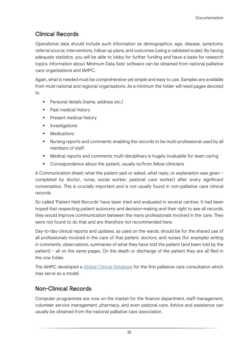# Clinical Records

Operational data should include such information as demographics, age, disease, symptoms, referral source, interventions, follow-up plans, and outcomes (using a validated scale). By having adequate statistics, you will be able to lobby for further funding and have a basis for research topics. Information about 'Minimum Data Sets' software can be obtained from national palliative care organizations and IAHPC.

Again, what is needed must be comprehensive yet simple and easy to use. Samples are available from most national and regional organisations. As a minimum the folder will need pages devoted to

- Personal details (name, address etc.)
- Past medical history
- **Present medical history**
- **Investigations**
- Medications
- **Nursing reports and comments: enabling the records to be multi-professional used by all** members of staff.
- Medical reports and comments: multi-disciplinary is hugely invaluable for team caring
- **•** Correspondence about the patient, usually to/from fellow clinicians

A Communication sheet: what the patient said or asked, what reply, or explanation was given – completed by doctor, nurse, social worker, pastoral care worker) after every significant conversation. This is crucially important and is not usually found in non-palliative care clinical records.

So called 'Patient Held Records' have been tried and evaluated in several centres. It had been hoped that respecting patient autonomy and decision-making and their right to see all records, they would improve communication between the many professionals involved in the care. They were not found to do that and are therefore not recommended here.

Day-to-day clinical reports and updates, as used on the wards, should be for the shared use of all professionals involved in the care of that patient, doctors, and nurses (for example) writing in comments, observations, summaries of what they have told the patient (and been told by the patient) – all on the same pages. On the death or discharge of the patient they are all filed in the one folder.

The IAHPC developed a [Global Clinical Database](https://hospicecare.com/global-palliative-care-database/home/) for the first palliative care consultation which may serve as a model.

# Non-Clinical Records

Computer programmes are now on the market for the finance department, staff management, volunteer service management, pharmacy, and even pastoral care. Advice and assistance can usually be obtained from the national palliative care association.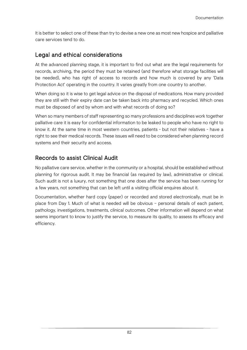It is better to select one of these than try to devise a new one as most new hospice and palliative care services tend to do.

# Legal and ethical considerations

At the advanced planning stage, it is important to find out what are the legal requirements for records, archiving, the period they must be retained (and therefore what storage facilities will be needed), who has right of access to records and how much is covered by any 'Data Protection Act' operating in the country. It varies greatly from one country to another.

When doing so it is wise to get legal advice on the disposal of medications. How many provided they are still with their expiry date can be taken back into pharmacy and recycled. Which ones must be disposed of and by whom and with what records of doing so?

When so many members of staff representing so many professions and disciplines work together palliative care it is easy for confidential information to be leaked to people who have no right to know it. At the same time in most western countries, patients - but not their relatives - have a right to see their medical records. These issues will need to be considered when planning record systems and their security and access.

# Records to assist Clinical Audit

No palliative care service, whether in the community or a hospital, should be established without planning for rigorous audit. It may be financial (as required by law), administrative or clinical. Such audit is not a luxury, not something that one does after the service has been running for a few years, not something that can be left until a visiting official enquires about it.

Documentation, whether hard copy (paper) or recorded and stored electronically, must be in place from Day 1. Much of what is needed will be obvious – personal details of each patient, pathology, investigations, treatments, clinical outcomes. Other information will depend on what seems important to know to justify the service, to measure its quality, to assess its efficacy and efficiency.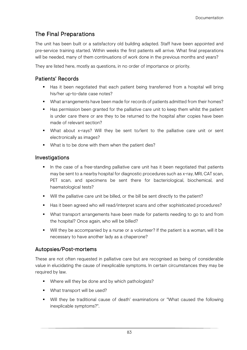# The Final Preparations

The unit has been built or a satisfactory old building adapted. Staff have been appointed and pre-service training started. Within weeks the first patients will arrive. What final preparations will be needed, many of them continuations of work done in the previous months and years?

They are listed here, mostly as questions, in no order of importance or priority.

## Patients' Records

- Has it been negotiated that each patient being transferred from a hospital will bring his/her up-to-date case notes?
- What arrangements have been made for records of patients admitted from their homes?
- Has permission been granted for the palliative care unit to keep them whilst the patient is under care there or are they to be returned to the hospital after copies have been made of relevant section?
- What about x-rays? Will they be sent to/lent to the palliative care unit or sent electronically as images?
- What is to be done with them when the patient dies?

### Investigations

- In the case of a free-standing palliative care unit has it been negotiated that patients may be sent to a nearby hospital for diagnostic procedures such as x-ray, MRI, CAT scan, PET scan, and specimens be sent there for bacteriological, biochemical, and haematological tests?
- Will the palliative care unit be billed, or the bill be sent directly to the patient?
- Has it been agreed who will read/interpret scans and other sophisticated procedures?
- What transport arrangements have been made for patients needing to go to and from the hospital? Once again, who will be billed?
- Will they be accompanied by a nurse or a volunteer? If the patient is a woman, will it be necessary to have another lady as a chaperone?

## Autopsies/Post-mortems

These are not often requested in palliative care but are recognised as being of considerable value in elucidating the cause of inexplicable symptoms. In certain circumstances they may be required by law.

- Where will they be done and by which pathologists?
- What transport will be used?
- Will they be traditional cause of death' examinations or "What caused the following inexplicable symptoms?".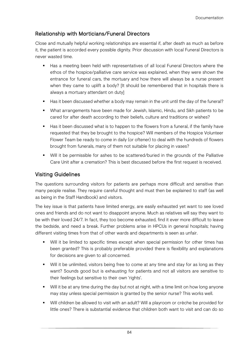## Relationship with Morticians/Funeral Directors

Close and mutually helpful working relationships are essential if, after death as much as before it, the patient is accorded every possible dignity. Prior discussion with local Funeral Directors is never wasted time.

- Has a meeting been held with representatives of all local Funeral Directors where the ethos of the hospice/palliative care service was explained, when they were shown the entrance for funeral cars, the mortuary and how there will always be a nurse present when they came to uplift a body? [It should be remembered that in hospitals there is always a mortuary attendant on duty]
- Has it been discussed whether a body may remain in the unit until the day of the funeral?
- What arrangements have been made for Jewish, Islamic, Hindu, and Sikh patients to be cared for after death according to their beliefs, culture and traditions or wishes?
- Has it been discussed what is to happen to the flowers from a funeral, if the family have requested that they be brought to the hospice? Will members of the Hospice Volunteer Flower Team be ready to come in daily (or oftener) to deal with the hundreds of flowers brought from funerals, many of them not suitable for placing in vases?
- Will it be permissible for ashes to be scattered/buried in the grounds of the Palliative Care Unit after a cremation? This is best discussed before the first request is received.

### Visiting Guidelines

The questions surrounding visitors for patients are perhaps more difficult and sensitive than many people realise. They require careful thought and must then be explained to staff (as well as being in the Staff Handbook) and visitors.

The key issue is that patients have limited energy, are easily exhausted yet want to see loved ones and friends and do not want to disappoint anyone. Much as relatives will say they want to be with their loved 24/7. In fact, they too become exhausted, find it ever more difficult to leave the bedside, and need a break. Further problems arise in HPCUs in general hospitals; having different visiting times from that of other wards and departments is seen as unfair.

- **Will it be limited to specific times except when special permission for other times has** been granted? This is probably preferable provided there is flexibility and explanations for decisions are given to all concerned.
- Will it be unlimited, visitors being free to come at any time and stay for as long as they want? Sounds good but is exhausting for patients and not all visitors are sensitive to their feelings but sensitive to their own 'rights'.
- Will it be at any time during the day but not at night, with a time limit on how long anyone may stay unless special permission is granted by the senior nurse? This works well.
- Will children be allowed to visit with an adult? Will a playroom or crèche be provided for little ones? There is substantial evidence that children both want to visit and can do so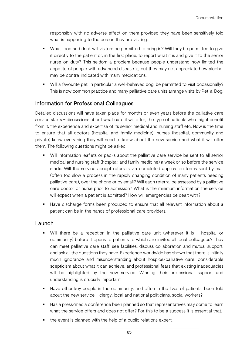responsibly with no adverse effect on them provided they have been sensitively told what is happening to the person they are visiting.

- What food and drink will visitors be permitted to bring in? Will they be permitted to give it directly to the patient or, in the first place, to report what it is and give it to the senior nurse on duty? This seldom a problem because people understand how limited the appetite of people with advanced disease is, but they may not appreciate how alcohol may be contra-indicated with many medications.
- Will a favourite pet, in particular a well-behaved dog, be permitted to visit occasionally? This is now common practice and many palliative care units arrange visits by Pet-a-Dog.

## Information for Professional Colleagues

Detailed discussions will have taken place for months or even years before the palliative care service starts – discussions about what care it will offer, the type of patients who might benefit from it, the experience and expertise of its senior medical and nursing staff etc. Now is the time to ensure that all doctors (hospital and family medicine), nurses (hospital, community and private) know everything they will need to know about the new service and what it will offer them. The following questions might be asked:

- Will information leaflets or packs about the palliative care service be sent to all senior medical and nursing staff (hospital; and family medicine) a week or so before the service starts. Will the service accept referrals via completed application forms sent by mail (often too slow a process in the rapidly changing condition of many patients needing palliative care), over the phone or by email? Will each referral be assessed by a palliative care doctor or nurse prior to admission? What is the minimum information the service will expect when a patient is admitted? How will emergencies be dealt with?
- Have discharge forms been produced to ensure that all relevant information about a patient can be in the hands of professional care providers.

### **Launch**

- Will there be a reception in the palliative care unit (wherever it is hospital or community) before it opens to patients to which are invited all local colleagues? They can meet palliative care staff, see facilities, discuss collaboration and mutual support, and ask all the questions they have. Experience worldwide has shown that there is initially much ignorance and misunderstanding about hospice/palliative care, considerable scepticism about what it can achieve, and professional fears that existing inadequacies will be highlighted by the new service. Winning their professional support and understanding is crucially important.
- Have other key people in the community, and often in the lives of patients, been told about the new service – clergy, local and national politicians, social workers?
- Has a press/media conference been planned so that representatives may come to learn what the service offers and does not offer? For this to be a success it is essential that.
- the event is planned with the help of a public relations expert.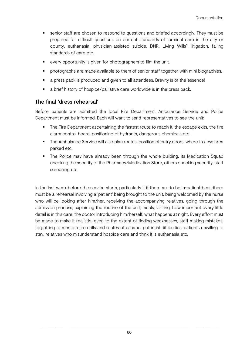- senior staff are chosen to respond to questions and briefed accordingly. They must be prepared for difficult questions on current standards of terminal care in the city or county, euthanasia, physician-assisted suicide, DNR, Living Wills", litigation, falling standards of care etc.
- every opportunity is given for photographers to film the unit.
- photographs are made available to them of senior staff together with mini biographies.
- a press pack is produced and given to all attendees. Brevity is of the essence!
- a brief history of hospice/palliative care worldwide is in the press pack.

## The final 'dress rehearsal'

Before patients are admitted the local Fire Department, Ambulance Service and Police Department must be informed. Each will want to send representatives to see the unit:

- The Fire Department ascertaining the fastest route to reach it, the escape exits, the fire alarm control board, positioning of hydrants, dangerous chemicals etc.
- The Ambulance Service will also plan routes, position of entry doors, where trolleys area parked etc.
- The Police may have already been through the whole building, its Medication Squad checking the security of the Pharmacy/Medication Store, others checking security, staff screening etc.

In the last week before the service starts, particularly if it there are to be in-patient beds there must be a rehearsal involving a 'patient' being brought to the unit, being welcomed by the nurse who will be looking after him/her, receiving the accompanying relatives, going through the admission process, explaining the routine of the unit, meals, visiting, how important every little detail is in this care, the doctor introducing him/herself, what happens at night. Every effort must be made to make it realistic, even to the extent of finding weaknesses, staff making mistakes, forgetting to mention fire drills and routes of escape, potential difficulties, patients unwilling to stay, relatives who misunderstand hospice care and think it is euthanasia etc.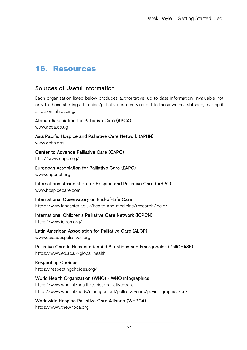# 16. Resources

# Sources of Useful Information

Each organisation listed below produces authoritative, up-to-date information, invaluable not only to those starting a hospice/palliative care service but to those well-established, making it all essential reading.

African Association for Palliative Care (APCA)

[www.apca.co.ug](http://www.apca.co.ug/)

Asia Pacific Hospice and Palliative Care Network (APHN)

[www.aphn.org](http://www.aphn.org/)

Center to Advance Palliative Care (CAPC)

<http://www.capc.org/>

# European Association for Palliative Care (EAPC)

[www.eapcnet.org](http://www.eapcnet.org/)

International Association for Hospice and Palliative Care (IAHPC)

[www.hospicecare.com](http://www.hospicecare.com/)

International Observatory on End-of-Life Care https://www.lancaster.ac.uk/health-and-medicine/research/ioelc/

### International Children's Palliative Care Network (ICPCN)

https://www.icpcn.org/

Latin American Association for Palliative Care (ALCP) [www.cuidadospaliativos.org](http://www.cuidadospaliativos.org/)

Palliative Care in Humanitarian Aid Situations and Emergencies (PallCHASE) https://www.ed.ac.uk/global-health

Respecting Choices https://respectingchoices.org/

### World Health Organization (WHO) - WHO infographics https://www.who.int/health-topics/palliative-care

https://www.who.int/ncds/management/palliative-care/pc-infographics/en/

Worldwide Hospice Palliative Care Alliance (WHPCA)

https://www.thewhpca.org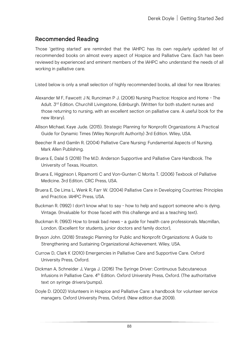# <span id="page-92-0"></span>Recommended Reading

Those 'getting started' are reminded that the IAHPC has its own regularly updated list of recommended books on almost every aspect of Hospice and Palliative Care. Each has been reviewed by experienced and eminent members of the IAHPC who understand the needs of all working in palliative care.

Listed below is only a small selection of highly recommended books, all ideal for new libraries:

- Alexander M F, Fawcett J N, Runciman P J. (2006) [Nursing Practice: Hospice and Home](http://www.amazon.com/exec/obidos/ASIN/0443060134/iahpc-20) The Adult. 3<sup>rd</sup> Edition. Churchill Livingstone, Edinburgh. (Written for both student nurses and those returning to nursing, with an excellent section on palliative care. A useful book for the new library).
- Allison Michael, Kaye Jude. (2015). Strategic Planning for Nonprofit Organizations: A Practical Guide for Dynamic Times (Wiley Nonprofit Authority) 3rd Edition. Wiley, USA.
- Beecher R and Gamlin R. (2004) Palliative Care Nursing: Fundamental Aspects of Nursing. Mark Allen Publishing.
- Bruera E, Dalal S (2018) The M.D. Anderson Supportive and Palliative Care Handbook. The University of Texas, Houston.
- Bruera E, Higginson I, Ripamonti C and Von-Gunten C Morita T. (2006) Texbook of Palliative Medicine. 3rd Edition. CRC Press, USA.
- Bruera E, De Lima L, Wenk R, Farr W. (2004) [Palliative Care in Developing Countries: Principles](https://www.hospicecare.com/palliative-care-developing-world/order_form.htm)  [and Practice. IAHPC Press, U](https://www.hospicecare.com/palliative-care-developing-world/order_form.htm)SA.
- Buckman R. (1992) [I](http://www.amazon.com/exec/obidos/ASIN/0316114545/iahpc-20) don't know what to say [how to help and support someone who is dying.](http://www.amazon.com/exec/obidos/ASIN/0316114545/iahpc-20)  Vintage. (Invaluable for those faced with this challenge and as a teaching text).
- Buckman R. (1993) [How to break bad news -](http://www.amazon.com/exec/obidos/ASIN/0801844916/iahpc-20) a guide for health [care professionals.](http://www.amazon.com/exec/obidos/ASIN/0801844916/iahpc-20) Macmillan, London. (Excellent for students, junior doctors and family doctor),
- Bryson John. (2018) Strategic Planning for Public and Nonprofit Organizations: A Guide to Strengthening and Sustaining Organizational Achievement. Wiley, USA.
- Currow D, Clark K (2010) Emergencies in Palliative Care and Supportive Care. Oxford University Press, Oxford.
- Dickman A, Schneider J, Varga J. (2016) [The](http://www.amazon.com/exec/obidos/ASIN/0198515502/iahpc-20) [Syringe Driver: Continuous Subcutaneous](http://www.amazon.com/exec/obidos/ASIN/0198515502/iahpc-20)  [Infusions in Palliative Care.](http://www.amazon.com/exec/obidos/ASIN/0198515502/iahpc-20) 4<sup>th</sup> Edition. Oxford University Press, Oxford. (The authoritative text on syringe drivers/pumps).
- Doyle D. (2002) [Volunteers in Hospice and Palliative Care: a handbook for volunteer service](http://www.amazon.com/exec/obidos/ASIN/0198516088/qid=1038844285/sr=11-1/ref=sr_11_1/103-7910521-6753422)  [managers.](http://www.amazon.com/exec/obidos/ASIN/0198516088/qid=1038844285/sr=11-1/ref=sr_11_1/103-7910521-6753422) Oxford University Press, Oxford. (New edition due 2009).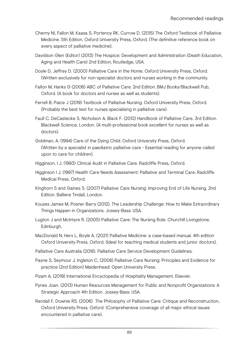- Cherny NI, Fallon M, Kaasa S, Portenoy RK, Currow D. (2015) [The Oxford Textbook of Palliative](http://www.amazon.com/exec/obidos/tg/detail/-/0198510985/qid=1072819346/ref=sr_8_xs_ap_i0_xgl14/104-8805768-3827950?v=glance&s=books&n=507846)  [Medicine.](http://www.amazon.com/exec/obidos/tg/detail/-/0198510985/qid=1072819346/ref=sr_8_xs_ap_i0_xgl14/104-8805768-3827950?v=glance&s=books&n=507846) 5th Edition. Oxford University Press, Oxford. (The definitive reference book on every aspect of palliative medicine).
- Davidson Glen (Editor) (2013) The Hospice: Development and Administration (Death Education, Aging and Health Care) 2nd Edition, Routledge, USA.
- Doyle D, Jeffrey D. (2000) [Palliative Care in the Home.](http://www.amazon.com/exec/obidos/ASIN/0192632272/iahpc-20) Oxford University Press, Oxford. (Written exclusively for non-specialist doctors and nurses working in the community.
- Fallon M, Hanks G (2006) ABC of Palliative Care. 2nd Edition. BMJ Books/Blackwell Pub, Oxford. (A book for doctors and nurses as well as students).
- Ferrell B, Paice J (2019) [Textbook of Palliative Nursing.](http://www.amazon.com/exec/obidos/ASIN/0195135741/iahpc-20) Oxford University Press, Oxford. (Probably the best text for nurses specialising in palliative care).
- Faull C, DeCastecke S, Nicholson A, Black F. (2012) [Handbook of Palliative Care.](http://www.amazon.com/exec/obidos/ASIN/0192632809/qid=1036120421/sr=11-1/ref=sr_11_1/104-5412634-8244719) 3rd Edition. Blackwell Science, London. (A multi-professional book excellent for nurses as well as doctors).
- Goldman, A. (1994) [Care of the Dying Child.](http://www.oup.co.uk/) Oxford University Press, Oxford. (Written by a specialist in paediatric palliative care - Essential reading for anyone called upon to care for children).
- Higginson, I J. (1993) [Clinical Audit in Palliative Care.](http://www.amazon.com/exec/obidos/ASIN/1870905644/iahpc-20) Radcliffe Press, Oxford.
- Higginson I J. (1997) Health Care Needs Assessment: Palliative and Terminal Care. Radcliffe Medical Press, Oxford.
- Kinghorn S and Gaines S. (2007) Palliative Care Nursing: Improving End of Life Nursing. 2nd Edition. Balliere Tindall, London.
- Kouzes James M, Posner Barry (2012). The Leadership Challenge: How to Make Extraordinary Things Happen in Organizations. Jossey-Bass: USA.
- Lugton J and McIntyre R. (2005) Palliative Care: The Nursing Role. Churchill Livingstone, Edinburgh.
- MacDonald N, Herx L, Boyle A. (2021) [Palliative Medicine: a case-based manual.](http://www.amazon.com/exec/obidos/tg/detail/-/0192626574/qid=1058834832/sr=1-1/ref=sr_1_1/002-0888700-0811247?v=glance&s=books) 4th edition Oxford University Press, Oxford. (Ideal for teaching medical students and junior doctors).
- Palliative Care Australia (2018). Palliative Care Service Development Guidelines.
- Payne S, Seymour J, Ingleton C. (2008) Palliative Care Nursing: Principles and Evidence for practice (2nd Edition) Maidenhead: Open University Press.
- Pizam A. (2019) International Encyclopedia of Hospitality Management. Elsevier.
- Pynes Joan. (2013) Human Resources Management for Public and Nonprofit Organizations: A Strategic Approach 4th Edition. Jossey-Bass: USA.
- Randall F, Downie RS. (2006) The Philosophy of Palliative Care: Critique and Reconstruction, Oxford University Press, Oxford. (Comprehensive coverage of all major ethical issues encountered in palliative care).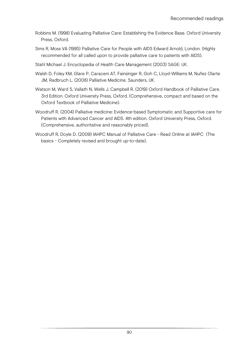- Robbins M. (1998) [Evaluating Palliative Care: Establishing the Evidence Base.](http://www.amazon.com/exec/obidos/ASIN/0192626213/iahpc-20) Oxford University Press, Oxford.
- Sims R, Moss VA (1995) [Palliative Care for People with AIDS](http://www.amazon.com/exec/obidos/ASIN/0340613718/iahpc-20) Edward Arnold, London. (Highly recommended for all called upon to provide palliative care to patients with AIDS).
- Stahl Michael J. Encyclopedia of Health Care Management (2003) SAGE: UK.
- Walsh D, Foley KM, Glare P, Caraceni AT, Fainsinger R, Goh C, Lloyd-Williams M, Nuñez Olarte JM, Radbruch L. (2008) Palliative Medicine. Saunders, UK.
- Watson M, Ward S, Vallath N, Wells J, Campbell R. (2019) [Oxford Handbook of Palliative Care.](http://www.amazon.com/exec/obidos/tg/detail/-/0198508972/qid=1098720250/sr=1-1/ref=sr_1_1/103-3899646-4655012?v=glance&s=books)  3rd Edition. Oxford University Press, Oxford. (Comprehensive, compact and based on the Oxford Textbook of Palliative Medicine).
- Woodruff R. (2004) [Palliative medicine: Evidence-based Symptomatic and Supportive care for](http://www.amazon.com/exec/obidos/ASIN/019551677X/iahpc-20)  [Patients with Advanced Cancer and AIDS.](http://www.amazon.com/exec/obidos/ASIN/019551677X/iahpc-20) 4th edition. Oxford University Press, Oxford. (Comprehensive, authoritative and reasonably priced).
- Woodruff R, Doyle D. (2009) [IAHPC Manual of Palliative Care -](https://www.hospicecare.com/manual/IAHPCmanual.htm) [Read Online at IAHPC](https://www.hospicecare.com/manual/IAHPCmanual.htm) (The basics - Completely revised and brought up-to-date).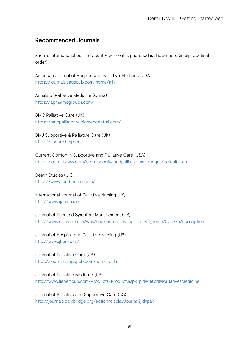# Recommended Journals

Each is international but the country where it is published is shown here (in alphabetical order):

American Journal of Hospice and Palliative Medicine (USA) https://journals.sagepub.com/home/ajh

Annals of Palliative Medicine (China) https://apm.amegroups.com/

BMC Palliative Care (UK) https://bmcpalliatcare.biomedcentral.com/

BMJ Supportive & Palliative Care (UK) https://spcare.bmj.com

Current Opinion in Supportive and Palliative Care (USA) https://journals.lww.com/co-supportiveandpalliativecare/pages/default.aspx

Death Studies (UK) https://www.tandfonline.com/

International Journal of Palliative Nursing (UK) http://www.ijpn.co.uk/

Journal of Pain and Symptom Management (US) http://www.elsevier.com/wps/find/journaldescription.cws\_home/505775/description

Journal of Hospice and Palliative Nursing (US) http://www.jhpn.com/

Journal of Palliative Care (US) https://journals.sagepub.com/home/pala

Journal of Palliative Medicine (US) http://www.liebertpub.com/Products/Product.aspx?pid=41&crit=Palliative+Medicine

Journal of Palliative and Supportive Care (US) http://journals.cambridge.org/action/displayJournal?jid=pax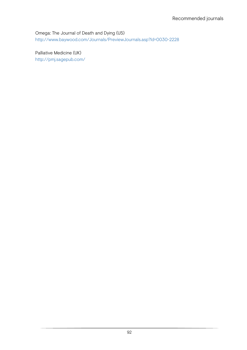Omega: The Journal of Death and Dying (US)

http://www.baywood.com/Journals/PreviewJournals.asp?Id=0030-2228

Palliative Medicine (UK) http://pmj.sagepub.com/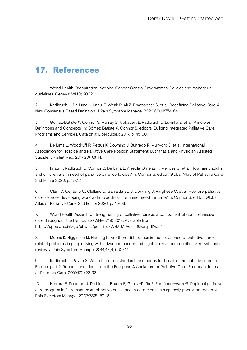# 17. References

1. World Health Organization. National Cancer Control Programmes. Policies and managerial guidelines. Geneva: WHO; 2002.

2. Radbruch L, De Lima L, Knaul F, Wenk R, Ali Z, Bhatnaghar S, et al. Redefining Palliative Care-A New Consensus-Based Definition. J Pain Symptom Manage. 2020;60(4):754-64.

3. Gómez-Batiste X, Connor S, Murray S, Krakauert E, Radbruch L, Luyirika E, et al. Principles, Definitions and Concepts. In: Gómez-Batiste X, Connor S, editors. Building Integrated Palliative Care Programs and Services. Catalonia: Liberdúplex; 2017. p. 45-60.

4. De Lima L, Woodruff R, Pettus K, Downing J, Buitrago R, Munyoro E, et al. International Association for Hospice and Palliative Care Position Statement: Euthanasia and Physician-Assisted Suicide. J Palliat Med. 2017;20(1):8-14.

5. Knaul F, Radbruch L, Connor S, De Lima L, Arreola-Ornelas H, Mendez O, et al. How many adults and children are in need of palliative care worldwide? In: Connor S, editor. Global Atlas of Palliative Care 2nd Edition2020. p. 17-32.

6. Clark D, Centeno C, Clelland D, Garralda EL, J, Downing J, Varghese C, et al. How are palliative care services developing worldwide to address the unmet need for care? In: Connor S, editor. Global Atlas of Palliative Care 2nd Edition2020. p. 45-58.

7. World Health Assembly. Strengthening of palliative care as a component of comprehensive care throughout the life course (WHA67.19) 2014. Available from: https://apps.who.int/gb/ebwha/pdf\_files/WHA67/A67\_R19-en.pdf?ua=1.

8. Moens K, Higginson IJ, Harding R. Are there differences in the prevalence of palliative carerelated problems in people living with advanced cancer and eight non-cancer conditions? A systematic review. J Pain Symptom Manage. 2014;48(4):660-77.

9. Radbruch L, Payne S. White Paper on standards and norms for hospice and palliative care in Europe: part 2. Recommendations from the European Association for Palliative Care. European Journal of Palliative Care. 2010;17(1):22-33.

10. Herrera E, Rocafort J, De Lima L, Bruera E, García-Peña F, Fernández-Vara G. Regional palliative care program in Extremadura: an effective public health care model in a sparsely populated region. J Pain Symptom Manage. 2007;33(5):591-8.